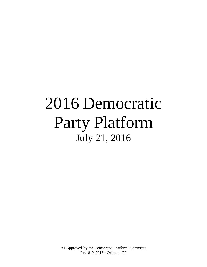# 2016 Democratic Party Platform July 21, 2016

As Approved by the Democratic Platform Committee July 8-9, 2016 - Orlando, FL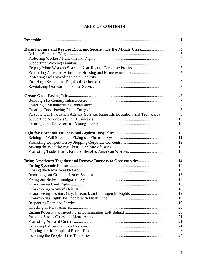## **TABLE OF CONTENTS**

| Pursuing Our Innovation Agenda: Science, Research, Education, and Technology  9 |  |
|---------------------------------------------------------------------------------|--|
|                                                                                 |  |
|                                                                                 |  |
|                                                                                 |  |
|                                                                                 |  |
|                                                                                 |  |
|                                                                                 |  |
|                                                                                 |  |
|                                                                                 |  |
|                                                                                 |  |
|                                                                                 |  |
|                                                                                 |  |
|                                                                                 |  |
|                                                                                 |  |
|                                                                                 |  |
|                                                                                 |  |
|                                                                                 |  |
|                                                                                 |  |
|                                                                                 |  |
|                                                                                 |  |
|                                                                                 |  |
|                                                                                 |  |
|                                                                                 |  |
|                                                                                 |  |
|                                                                                 |  |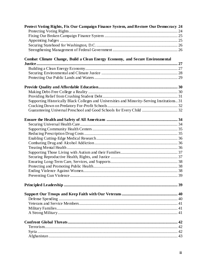| Protect Voting Rights, Fix Our Campaign Finance System, and Restore Our Democracy 24         |  |
|----------------------------------------------------------------------------------------------|--|
|                                                                                              |  |
|                                                                                              |  |
|                                                                                              |  |
|                                                                                              |  |
|                                                                                              |  |
|                                                                                              |  |
| Combat Climate Change, Build a Clean Energy Economy, and Secure Environmental                |  |
|                                                                                              |  |
|                                                                                              |  |
|                                                                                              |  |
|                                                                                              |  |
|                                                                                              |  |
|                                                                                              |  |
|                                                                                              |  |
| Supporting Historically Black Colleges and Universities and Minority-Serving Institutions 31 |  |
|                                                                                              |  |
|                                                                                              |  |
|                                                                                              |  |
|                                                                                              |  |
|                                                                                              |  |
|                                                                                              |  |
|                                                                                              |  |
|                                                                                              |  |
|                                                                                              |  |
|                                                                                              |  |
|                                                                                              |  |
|                                                                                              |  |
|                                                                                              |  |
|                                                                                              |  |
|                                                                                              |  |
|                                                                                              |  |
|                                                                                              |  |
|                                                                                              |  |
|                                                                                              |  |
|                                                                                              |  |
|                                                                                              |  |
|                                                                                              |  |
|                                                                                              |  |
|                                                                                              |  |
|                                                                                              |  |
|                                                                                              |  |
|                                                                                              |  |
|                                                                                              |  |
|                                                                                              |  |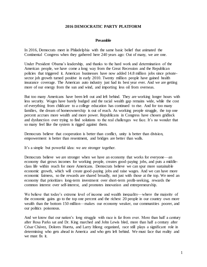## **2016 DEMOCRATIC PARTY PLATFORM**

#### **Preamble**

In 2016, Democrats meet in Philadelphia with the same basic belief that animated the Continental Congress when they gathered here 240 years ago: Out of many, we are one.

Under President Obama's leadership, and thanks to the hard work and determination of the American people, we have come a long way from the Great Recession and the Republican policies that triggered it. American businesses have now added 14.8 million jobs since privatesector job growth turned positive in early 2010. Twenty million people have gained health insurance coverage. The American auto industry just had its best year ever. And we are getting more of our energy from the sun and wind, and importing less oil from overseas.

But too many Americans have been left out and left behind. They are working longer hours with less security. Wages have barely budged and the racial wealth gap remains wide, while the cost of everything from childcare to a college education has continued to rise. And for too many families, the dream of homeownership is out of reach. As working people struggle, the top one percent accrues more wealth and more power. Republicans in Congress have chosen gridlock and dysfunction over trying to find solutions to the real challenges we face. It's no wonder that so many feel like the system is rigged against them.

Democrats believe that cooperation is better than conflict, unity is better than division, empowerment is better than resentment, and bridges are better than walls.

It's a simple but powerful idea: we are stronger together.

Democrats believe we are stronger when we have an economy that works for everyone—an economy that grows incomes for working people, creates good-paying jobs, and puts a middleclass life within reach for more Americans. Democrats believe we can spur more sustainable economic growth, which will create good-paying jobs and raise wages. And we can have more economic fairness, so the rewards are shared broadly, not just with those at the top. We need an economy that prioritizes long-term investment over short-term profit-seeking, rewards the common interest over self-interest, and promotes innovation and entrepreneurship.

We believe that today's extreme level of income and wealth inequality—where the majority of the economic gains go to the top one percent and the richest 20 people in our country own more wealth than the bottom 150 million—makes our economy weaker, our communities poorer, and our politics poisonous.

And we know that our nation's long struggle with race is far from over. More than half a century after Rosa Parks sat and Dr. King marched and John Lewis bled, more than half a century after César Chávez, Dolores Huerta, and Larry Itliong organized, race still plays a significant role in determining who gets ahead in America and who gets left behind. We must face that reality and we must fix it.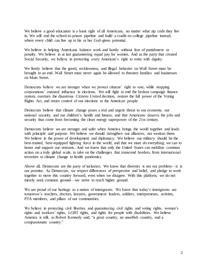We believe a good education is a basic right of all Americans, no matter what zip code they live in. We will end the school-to-prison pipeline and build a cradle-to-college pipeline instead, where every child can live up to his or her God-given potential.

We believe in helping Americans balance work and family without fear of punishment or penalty. We believe in at last guaranteeing equal pay for women. And as the party that created Social Security, we believe in protecting every American's right to retire with dignity.

We firmly believe that the greed, recklessness, and illegal behavior on Wall Street must be brought to an end. Wall Street must never again be allowed to threaten families and businesses on Main Street.

Democrats believe we are stronger when we protect citizens' right to vote, while stopping corporations' outsized influence in elections. We will fight to end the broken campaign finance system, overturn the disastrous *Citizens United* decision, restore the full power of the Voting Rights Act, and return control of our elections to the American people.

Democrats believe that climate change poses a real and urgent threat to our economy, our national security, and our children's health and futures, and that Americans deserve the jobs and security that come from becoming the clean energy superpower of the 21st century.

Democrats believe we are stronger and safer when America brings the world together and leads with principle and purpose. We believe we should strengthen our alliances, not weaken them. We believe in the power of development and diplomacy. We believe our military should be the best-trained, best-equipped fighting force in the world, and that we must do everything we can to honor and support our veterans. And we know that only the United States can mobilize common action on a truly global scale, to take on the challenges that transcend borders, from international terrorism to climate change to health pandemics.

Above all, Democrats are the party of inclusion. We know that diversity is not our problem—it is our promise. As Democrats, we respect differences of perspective and belief, and pledge to work together to move this country forward, even when we disagree. With this platform, we do not merely seek common ground—we strive to reach higher ground.

We are proud of our heritage as a nation of immigrants. We know that today's immigrants are tomorrow's teachers, doctors, lawyers, government leaders, soldiers, entrepreneurs, activists, PTA members, and pillars of our communities.

We believe in protecting civil liberties and guaranteeing civil rights and voting rights, women's rights and workers' rights, LGBT rights, and rights for people with disabilities. We believe America is still, as Robert Kennedy said, "a great country, an unselfish country, and a compassionate country."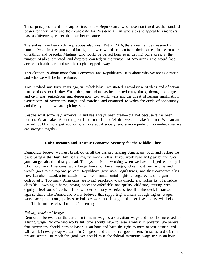These principles stand in sharp contrast to the Republicans, who have nominated as the standardbearer for their party and their candidate for President a man who seeks to appeal to Americans' basest differences, rather than our better natures.

The stakes have been high in previous elections. But in 2016, the stakes can be measured in human lives—in the number of immigrants who would be torn from their homes; in the number of faithful and peaceful Muslims who would be barred from even visiting our shores; in the number of allies alienated and dictators courted; in the number of Americans who would lose access to health care and see their rights ripped away.

This election is about more than Democrats and Republicans. It is about who we are as a nation, and who we will be in the future.

Two hundred and forty years ago, in Philadelphia, we started a revolution of ideas and of action that continues to this day. Since then, our union has been tested many times, through bondage and civil war, segregation and depression, two world wars and the threat of nuclear annihilation. Generations of Americans fought and marched and organized to widen the circle of opportunity and dignity—and we are fighting still.

Despite what some say, America is and has always been great—but not because it has been perfect. What makes America great is our unerring belief that we can make it better. We can and we will build a more just economy, a more equal society, and a more perfect union—because we are stronger together.

#### **Raise Incomes and Restore Economic Security for the Middle Class**

Democrats believe we must break down all the barriers holding Americans back and restore the basic bargain that built America's mighty middle class: If you work hard and play by the rules, you can get ahead and stay ahead. The system is not working when we have a rigged economy in which ordinary Americans work longer hours for lower wages, while most new income and wealth goes to the top one percent. Republican governors, legislatures, and their corporate allies have launched attack after attack on workers' fundamental rights to organize and bargain collectively. Too many Americans are living paycheck to paycheck, and hallmarks of a middle class life—owning a home, having access to affordable and quality childcare, retiring with dignity—feel out of reach. It is no wonder so many Americans feel like the deck is stacked against them. The Democratic Party believes that supporting workers through higher wages, workplace protections, policies to balance work and family, and other investments will help rebuild the middle class for the 21st century.

#### *Raising Workers' Wages*

Democrats believe that the current minimum wage is a starvation wage and must be increased to a living wage. No one who works full time should have to raise a family in poverty. We believe that Americans should earn at least \$15 an hour and have the right to form or join a union and will work in every way we can—in Congress and the federal government, in states and with the private sector—to reach this goal. We should raise the federal minimum wage to \$15 an hour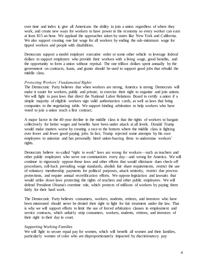over time and index it, give all Americans the ability to join a union regardless of where they work, and create new ways for workers to have power in the economy so every worker can earn at least \$15 an hour. We applaud the approaches taken by states like New York and California. We also support creating one fair wage for all workers by ending the sub-minimum wage for tipped workers and people with disabilities.

Democrats support a model employer executive order or some other vehicle to leverage federal dollars to support employers who provide their workers with a living wage, good benefits, and the opportunity to form a union without reprisal. The one trillion dollars spent annually by the government on contracts, loans, and grants should be used to support good jobs that rebuild the middle class.

## *Protecting Workers' Fundamental Rights*

The Democratic Party believes that when workers are strong, America is strong. Democrats will make it easier for workers, public and private, to exercise their right to organize and join unions. We will fight to pass laws that direct the National Labor Relations Board to certify a union if a simple majority of eligible workers sign valid authorization cards, as well as laws that bring companies to the negotiating table. We support binding arbitration to help workers who have voted to join a union reach a first contract.

A major factor in the 40-year decline in the middle class is that the rights of workers to bargain collectively for better wages and benefits have been under attack at all levels. Donald Trump would make matters worse by creating a race to the bottom where the middle class is fighting over fewer and fewer good-paying jobs. In fact, Trump rejected some attempts by his own employees to unionize and has personally hired union-busting firms to undermine workers' rights.

Democrats believe so-called "right to work" laws are wrong for workers—such as teachers and other public employees who serve our communities every day—and wrong for America. We will continue to vigorously oppose those laws and other efforts that would eliminate dues check-off procedures, roll-back prevailing wage standards, abolish fair share requirements, restrict the use of voluntary membership payments for political purposes, attack seniority, restrict due process protections, and require annual recertification efforts. We oppose legislation and lawsuits that would strike down laws protecting the rights of teachers and other public employees. We will defend President Obama's overtime rule, which protects of millions of workers by paying them fairly for their hard work.

The Democratic Party believes consumers, workers, students, retirees, and investors who have been mistreated should never be denied their right to fight for fair treatment under the law. That is why we will support efforts to limit the use of forced arbitration clauses in employment and service contracts, which unfairly strip consumers, workers, students, retirees, and investors of their right to their day in court.

## *Supporting Working Families*

We will fight to secure equal pay for women, which will benefit all women and their families, particularly women of color who are disproportionately impacted by discriminatory pay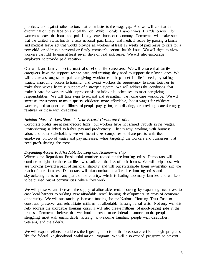practices, and against other factors that contribute to the wage gap. And we will combat the discrimination they face on and off the job. While Donald Trump thinks it is "dangerous" for women to leave the home and paid family leave hurts our economy, Democrats will make sure that the United States finally enacts national paid family and medical leave by passing a family and medical leave act that would provide all workers at least 12 weeks of paid leave to care for a new child or address a personal or family member's serious health issue. We will fight to allow workers the right to earn at least seven days of paid sick leave. We will also encourage employers to provide paid vacation.

Our work and family policies must also help family caregivers. We will ensure that family caregivers have the support, respite care, and training they need to support their loved ones. We will create a strong stable paid caregiving workforce to help meet families' needs, by raising wages, improving access to training, and giving workers the opportunity to come together to make their voices heard in support of a stronger system. We will address the conditions that make it hard for workers with unpredictable or inflexible schedules to meet caregiving responsibilities. We will take steps to expand and strengthen the home care workforce. We will increase investments to make quality childcare more affordable, boost wages for childcare workers, and support the millions of people paying for, coordinating, or providing care for aging relatives or those with disabilities.

## *Helping More Workers Share in Near-Record Corporate Profits*

Corporate profits are at near-record highs, but workers have not shared through rising wages. Profit-sharing is linked to higher pay and productivity. That is why, working with business, labor, and other stakeholders, we will incentivize companies to share profits with their employees on top of wages and pay increases, while targeting the workers and businesses that need profit-sharing the most.

#### *Expanding Access to Affordable Housing and Homeownership*

Whereas the Republican Presidential nominee rooted for the housing crisis, Democrats will continue to fight for those families who suffered the loss of their homes. We will help those who are working toward a path of financial stability and will put sustainable home ownership into the reach of more families. Democrats will also combat the affordable housing crisis and skyrocketing rents in many parts of the country, which is leading too many families and workers to be pushed out of communities where they work.

We will preserve and increase the supply of affordable rental housing by expanding incentives to ease local barriers to building new affordable rental housing developments in areas of economic opportunity. We will substantially increase funding for the National Housing Trust Fund to construct, preserve, and rehabilitate millions of affordable housing rental units. Not only will this help address the affordable housing crisis, it will also create millions of good-paying jobs in the process. Democrats believe that we should provide more federal resources to the people struggling most with unaffordable housing: low-income families, people with disabilities, veterans, and the elderly.

We will expand efforts to address the lingering effects of the foreclosure crisis through programs like the federal Neighborhood Stabilization Program. We will also expand programs to prevent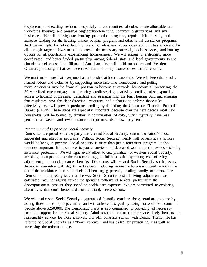displacement of existing residents, especially in communities of color; create affordable and workforce housing; and preserve neighborhood-serving nonprofit organizations and small businesses. We will reinvigorate housing production programs, repair public housing, and increase funding for the housing choice voucher program and other rental assistance programs. And we will fight for robust funding to end homelessness in our cities and counties once and for all, through targeted investments to provide the necessary outreach, social services, and housing options for all populations experiencing homelessness. We will engage in a stronger, more coordinated, and better funded partnership among federal, state, and local governments to end chronic homelessness for millions of Americans. We will build on and expand President Obama's promising initiatives to end veteran and family homelessness in our country.

We must make sure that everyone has a fair shot at homeownership. We will keep the housing market robust and inclusive by supporting more first-time homebuyers and putting more Americans into the financial position to become sustainable homeowners; preserving the 30-year fixed rate mortgage; modernizing credit scoring; clarifying lending rules; expanding access to housing counseling; defending and strengthening the Fair Housing Act; and ensuring that regulators have the clear direction, resources, and authority to enforce those rules effectively. We will prevent predatory lending by defending the Consumer Financial Protection Bureau (CFPB). These steps are especially important because over the next decade most new households will be formed by families in communities of color, which typically have less generational wealth and fewer resources to put towards a down payment.

## *Protecting and Expanding Social Security*

Democrats are proud to be the party that created Social Security, one of the nation's most successful and effective programs. Without Social Security, nearly half of America's seniors would be living in poverty. Social Security is more than just a retirement program. It also provides important life insurance to young survivors of deceased workers and provides disability insurance protection. We will fight every effort to cut, privatize, or weaken Social Security, including attempts to raise the retirement age, diminish benefits by cutting cost-of-living adjustments, or reducing earned benefits. Democrats will expand Social Security so that every American can retire with dignity and respect, including women who are widowed or took time out of the workforce to care for their children, aging parents, or ailing family members. The Democratic Party recognizes that the way Social Security cost-of- living adjustments are calculated may not always reflect the spending patterns of seniors, particularly the disproportionate amount they spend on health care expenses. We are committed to exploring alternatives that could better and more equitably serve seniors.

We will make sure Social Security's guaranteed benefits continue for generations to come by asking those at the top to pay more, and will achieve this goal by taxing some of the income of people above \$250,000. The Democratic Party is also committed to providing all necessary financial support for the Social Security Administration so that it can provide timely benefits and high-quality service for those it serves. Our plan contrasts starkly with Donald Trump. He has referred to Social Security as a "Ponzi scheme" and has called for privatizing it as well as increasing the retirement age.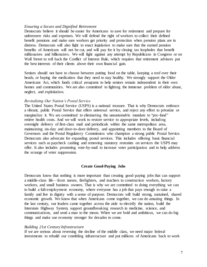#### *Ensuring a Secure and Dignified Retirement*

Democrats believe it should be easier for Americans to save for retirement and prepare for unforeseen risks and expenses. We will defend the right of workers to collect their defined benefit pensions and make sure workers get priority and protection when pension plans are in distress. Democrats will also fight to enact legislation to make sure that the earned pension benefits of Americans will not be cut, and will pay for it by closing tax loopholes that benefit millionaires and billionaires. We will fight against any attempt by Republicans in Congress or on Wall Street to roll back the Conflict of Interest Rule, which requires that retirement advisors put the best interests of their clients above their own financial gain.

Seniors should not have to choose between putting food on the table, keeping a roof over their heads, or buying the medication that they need to stay healthy. We strongly support the Older Americans Act, which funds critical programs to help seniors remain independent in their own homes and communities. We are also committed to fighting the immense problem of elder abuse, neglect, and exploitation.

## *Revitalizing Our Nation's Postal Service*

The United States Postal Service (USPS) is a national treasure. That is why Democrats embrace a vibrant, public Postal Service that offers universal service, and reject any effort to privatize or marginalize it. We are committed to eliminating the unsustainable mandate to "pre-fund" retiree health costs. And we will work to restore service to appropriate levels, including overnight delivery of first-class mail and periodicals within the same metropolitan area, maintaining six-day and door-to-door delivery, and appointing members to the Board of Governors and the Postal Regulatory Commission who champion a strong public Postal Service. Democrats also advocate for expanding postal services. This includes offering basic financial services such as paycheck cashing and removing statutory restraints on services the USPS may offer. It also includes promoting vote-by-mail to increase voter participation and to help address the scourge of voter suppression.

## **Create Good-Paying Jobs**

Democrats know that nothing is more important than creating good-paying jobs that can support a middle-class life—from nurses, firefighters, and teachers to construction workers, factory workers, and small business owners. That is why we are committed to doing everything we can to build a full-employment economy, where everyone has a job that pays enough to raise a family and live in dignity with a sense of purpose. Democrats will build strong, sustained, shared economic growth. We know that when Americans come together, we can do amazing things. In the last century, our leaders came together across the aisle to electrify the nation, build the Interstate Highway System, support groundbreaking research in medicine, science, and communications, and send a man to the moon. When we are bold and ambitious, we can do big things and make our economy stronger for decades to come.

#### *Building 21st Century Infrastructure*

If we are serious about reversing the decline of the middle class, we need major federal investments to rebuild our crumbling infrastructure and put millions of Americans back to work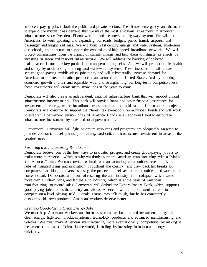in decent paying jobs in both the public and private sectors. The climate emergency and the need to expand the middle class demand that we make the most ambitious investment in American infrastructure since President Eisenhower created the interstate highway system. We will put Americans to work updating and expanding our roads, bridges, public transit, airports, and passenger and freight rail lines. We will build 21st century energy and water systems, modernize our schools, and continue to support the expansion of high-speed broadband networks. We will protect communities from the impact of climate change and help them to mitigate its effects by investing in green and resilient infrastructure. We will address the backlog of deferred maintenance in our four key public land management agencies. And we will protect public health and safety by modernizing drinking and wastewater systems. These investments will create secure, good-paying middle-class jobs today and will substantially increase demand for American-made steel and other products manufactured in the United States. And by boosting economic growth in a fair and equitable way, and strengthening our long-term competitiveness, these investments will create many more jobs in the years to come.

Democrats will also create an independent, national infrastructure bank that will support critical infrastructure improvements. This bank will provide loans and other financial assistance for investments in energy, water, broadband, transportation, and multi-modal infrastructure projects. Democrats will continue to support the interest tax exemption on municipal bonds and will work to establish a permanent version of Build America Bonds as an additional tool to encourage infrastructure investment by state and local governments.

Furthermore, Democrats will fight to ensure resources and programs are adequately targeted to provide economic development, job training, and critical infrastructure investment in areas of the greatest need.

#### *Fostering a Manufacturing Renaissance*

Democrats believe one of the best ways to innovate, prosper, and create good-paying jobs is to make more in America, which is why we firmly support American manufacturing with a "Make it in America" plan. We must revitalize hard-hit manufacturing communities; create thriving hubs of manufacturing and innovation throughout the country; and claw back tax breaks for companies that ship jobs overseas, using the proceeds to reinvest in communities and workers at home instead. Democrats are proud of rescuing the auto industry from collapse, which saved more than a million jobs, and led the auto industry, which is at the heart of American manufacturing, to record sales. Democrats will defend the Export-Import Bank, which supports good-paying jobs across the country and allows American workers and manufacturers to compete on a level playing field. Donald Trump may talk tough, but he has consistently outsourced his own products. American workers deserve better.

#### *Creating Good-Paying Clean Energy Jobs*

We must help American workers and businesses compete for jobs and investments in global clean energy, high-tech products, internet technology products, and advanced manufacturing and vehicles. We must make American manufacturing more internationally competitive by making it the greenest and most efficient in the world, including by investing in industrial energy efficiency.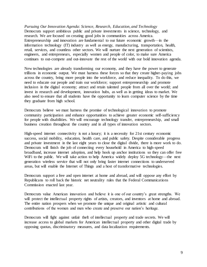*Pursuing Our Innovation Agenda: Science, Research, Education, and Technology*  Democrats support ambitious public and private investments in science, technology, and research. We are focused on creating good jobs in communities across America. Entrepreneurship and innovation are fundamental to our future economic growth—in the information technology (IT) industry as well as energy, manufacturing, transportation, health, retail, services, and countless other sectors. We will nurture the next generation of scientists, engineers, and entrepreneurs, especially women and people of color, to make sure America continues to out-compete and out-innovate the rest of the world with our bold innovation agenda.

New technologies are already transforming our economy, and they have the power to generate trillions in economic output. We must harness these forces so that they create higher-paying jobs across the country, bring more people into the workforce, and reduce inequality. To do this, we need to educate our people and train our workforce; support entrepreneurship and promote inclusion in the digital economy; attract and retain talented people from all over the world; and invest in research and development, innovation hubs, as well as in getting ideas to market. We also need to ensure that all students have the opportunity to learn computer science by the time they graduate from high school.

Democrats believe we must harness the promise of technological innovation to promote community participation and enhance opportunities to achieve greater economic self-sufficiency for people with disabilities. We will encourage technology transfer, entrepreneurship, and small business creation throughout the country and in all types of innovation sectors.

High-speed internet connectivity is not a luxury; it is a necessity for 21st century economic success, social mobility, education, health care, and public safety. Despite considerable progress and private investment in the last eight years to close the digital divide, there is more work to do. Democrats will finish the job of connecting every household in America to high-speed broadband, increase internet adoption, and help hook up anchor institutions so they can offer free WiFi to the public. We will take action to help America widely deploy 5G technology—the next generation wireless service that will not only bring faster internet connections to underserved areas, but will enable the Internet of Things and a host of transformative technologies.

Democrats support a free and open internet at home and abroad, and will oppose any effort by Republicans to roll back the historic net neutrality rules that the Federal Communications Commission enacted last year.

Democrats value American innovation and believe it is one of our country's great strengths. We will protect the intellectual property rights of artists, creators, and inventors at home and abroad. The entire nation prospers when we promote the unique and original artistic and cultural contributions of the women and men who create and preserve our nation's heritage.

Democrats will fight against unfair theft of intellectual property and trade secrets. We will increase access to global markets for American intellectual property and other digital trade by opposing quotas, discriminatory measures, and data localization requirements.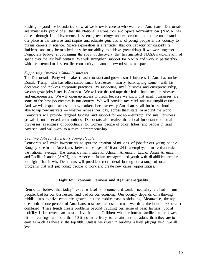Pushing beyond the boundaries of what we know is core to who we are as Americans. Democrats are immensely proud of all that the National Aeronautics and Space Administration (NASA) has done—through its achievements in science, technology and exploration—to better understand our place in the universe and inspire and educate generations of young people in this country to pursue careers in science. Space exploration is a reminder that our capacity for curiosity is limitless, and may be matched only by our ability to achieve great things if we work together. Democrats believe in continuing the spirit of discovery that has animated NASA's exploration of space over the last half century. We will strengthen support for NASA and work in partnership with the international scientific community to launch new missions to space.

## *Supporting America's Small Businesses*

The Democratic Party will make it easier to start and grow a small business in America, unlike Donald Trump, who has often stiffed small businesses—nearly bankrupting some—with his deceptive and reckless corporate practices. By supporting small business and entrepreneurship, we can grow jobs faster in America. We will cut the red tape that holds back small businesses and entrepreneurs. We will open up access to credit because we know that small businesses are some of the best job creators in our country. We will provide tax relief and tax simplification. And we will expand access to new markets because every American small business should be able to tap new markets — whether across their city, across their state, or around the world. Democrats will provide targeted funding and support for entrepreneurship and small business growth in underserved communities. Democrats also realize the critical importance of small businesses as engines of opportunity for women, people of color, tribes, and people in rural America, and will work to nurture entrepreneurship.

#### *Creating Jobs for America's Young People*

Democrats will make investments to spur the creation of millions of jobs for our young people. Roughly [one in ten](http://data.bls.gov/timeseries/LNS14024887?include_graphs=false&output_type=column&years_option=all_years) Americans between the ages of 16 and 24 is unemployed, more than twice the national average. The unemployment rates for African American, Latino, Asian American and Pacific Islander (AAPI), and American Indian teenagers and youth with disabilities are far too high. That is why Democrats will provide direct federal funding for a range of local programs that will put young people to work and create new career opportunities.

#### **Fight for Economic Fairness and Against Inequality**

Democrats believe that today's extreme levels of income and wealth inequality are bad for our people, bad for our businesses, and bad for our economy. Our country depends on a thriving middle class to drive economic growth, but the middle class is shrinking. Meanwhile, the top one-tenth of one percent of Americans now own almost as much wealth as the bottom 90 percent combined. These trends create problems beyond insulting our sense of basic fairness. Social mobility is far lower than most believe it to be. Children who are born to families in the lowest fifth of earnings are more than 10 times more likely to remain there as adults than they are to earn as much as those in the top fifth. Unless we invest in building a level playing field, we all lose.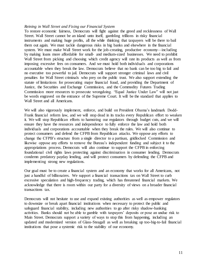#### *Reining in Wall Street and Fixing our Financial System*

To restore economic fairness, Democrats will fight against the greed and recklessness of Wall Street. Wall Street cannot be an island unto itself, gambling trillions in risky financial instruments and making huge profits, all the while thinking that taxpayers will be there to bail them out again. We must tackle dangerous risks in big banks and elsewhere in the financial system. We must make Wall Street work for the job-creating, productive economy—including by making loans more affordable for small- and medium-sized businesses. We need to prohibit Wall Street from picking and choosing which credit agency will rate its products as well as from imposing excessive fees on consumers. And we must hold both individuals and corporations accountable when they break the law. Democrats believe that no bank can be too big to fail and no executive too powerful to jail. Democrats will support stronger criminal laws and civil penalties for Wall Street criminals who prey on the public trust. We also support extending the statute of limitations for prosecuting major financial fraud, and providing the Department of Justice, the Securities and Exchange Commission, and the Commodity Futures Trading Commission more resources to prosecute wrongdoing. "Equal Justice Under Law" will not just be words engraved on the entrance of the Supreme Court. It will be the standard that applies to Wall Street and all Americans.

We will also vigorously implement, enforce, and build on President Obama's landmark Dodd-Frank financial reform law, and we will stop dead in its tracks every Republican effort to weaken it. We will stop Republican efforts to hamstring our regulators through budget cuts, and we will ensure they have the resources and independence to fully enforce the law and hold both individuals and corporations accountable when they break the rules. We will also continue to protect consumers and defend the CFPB from Republican attacks. We oppose any efforts to change the CFPB's structure from a single director to a partisan, gridlocked Commission and likewise oppose any efforts to remove the Bureau's independent funding and subject it to the appropriations process. Democrats will also continue to support the CFPB in enforcing foundational civil rights laws protecting against discrimination in consumer lending. Democrats condemn predatory payday lending, and will protect consumers by defending the CFPB and implementing strong new regulations.

Our goal must be to create a financial system and an economy that works for all Americans, not just a handful of billionaires. We support a financial transactions tax on Wall Street to curb excessive speculation and high-frequency trading, which has threatened financial markets. We acknowledge that there is room within our party for a diversity of views on a broader financial transactions tax.

Democrats will not hesitate to use and expand existing authorities as well as empower regulators to downsize or break apart financial institutions when necessary to protect the public and safeguard financial stability, including new authorities to go after risky shadow-banking activities. Banks should not be able to gamble with taxpayers' deposits or pose an undue risk to Main Street. Democrats support a variety of ways to stop this from happening, including an updated and modernized version of Glass-Steagall as well as breaking up too-big-to-fail financial institutions that pose a systemic risk to the stability of our economy.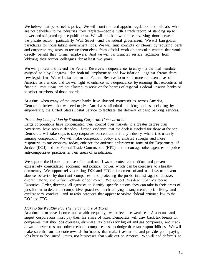We believe that personnel is policy. We will nominate and appoint regulators and officials who are not beholden to the industries they regulate—people with a track record of standing up to power and safeguarding the public trust. We will crack down on the revolving door between the private sector—particularly Wall Street—and the federal government. We will ban golden parachutes for those taking government jobs. We will limit conflicts of interest by requiring bank and corporate regulators to recuse themselves from official work on particular matters that would directly benefit their former employers. And we will bar financial service regulators from lobbying their former colleagues for at least two years.

We will protect and defend the Federal Reserve's independence to carry out the dual mandate assigned to it by Congress—for both full employment and low inflation—against threats from new legislation. We will also reform the Federal Reserve to make it more representative of America as a whole, and we will fight to enhance its independence by ensuring that executives of financial institutions are not allowed to serve on the boards of regional Federal Reserve banks or to select members of those boards.

At a time when many of the largest banks have shunned communities across America, Democrats believe that we need to give Americans affordable banking options, including by empowering the United States Postal Service to facilitate the delivery of basic banking services.

## *Promoting Competition by Stopping Corporate Concentration*

Large corporations have concentrated their control over markets to a greater degree than Americans have seen in decades—further evidence that the deck is stacked for those at the top. Democrats will take steps to stop corporate concentration in any industry where it is unfairly limiting competition. We will make competition policy and antitrust stronger and more responsive to our economy today, enhance the antitrust enforcement arms of the Department of Justice (DOJ) and the Federal Trade Commission (FTC), and encourage other agencies to police anti-competitive practices in their areas of jurisdiction.

We support the historic purpose of the antitrust laws to protect competition and prevent excessively consolidated economic and political power, which can be corrosive to a healthy democracy. We support reinvigorating DOJ and FTC enforcement of antitrust laws to prevent abusive behavior by dominant companies, and protecting the public interest against abusive, discriminatory, and unfair methods of commerce. We support President Obama's recent Executive Order, directing all agencies to identify specific actions they can take in their areas of jurisdiction to detect anticompetitive practices—such as tying arrangements, price fixing, and exclusionary conduct—and to refer practices that appear to violate federal antitrust law to the DOJ and FTC.

#### *Making the Wealthy Pay Their Fair Share of Taxes*

At a time of massive income and wealth inequality, we believe the wealthiest Americans and largest corporations must pay their fair share of taxes. Democrats will claw back tax breaks for companies that ship jobs overseas, eliminate tax breaks for big oil and gas companies, and crack down on inversions and other methods companies use to dodge their tax responsibilities. We will make sure that our tax code rewards businesses that make investments and provide good-paying jobs here in the United States, not businesses that walk out on America. We will end deferrals so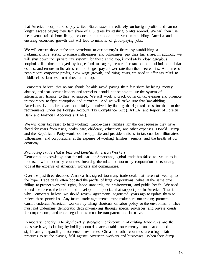that American corporations pay United States taxes immediately on foreign profits and can no longer escape paying their fair share of U.S. taxes by stashing profits abroad. We will then use the revenue raised from fixing the corporate tax code to reinvest in rebuilding America and ensuring economic growth that will lead to millions of good-paying jobs.

We will ensure those at the top contribute to our country's future by establishing a multimillionaire surtax to ensure millionaires and billionaires pay their fair share. In addition, we will shut down the "private tax system" for those at the top, immediately close egregious loopholes like those enjoyed by hedge fund managers, restore fair taxation on multimillion dollar estates, and ensure millionaires can no longer pay a lower rate than their secretaries. At a time of near-record corporate profits, slow wage growth, and rising costs, we need to offer tax relief to middle-class families—not those at the top.

Democrats believe that no one should be able avoid paying their fair share by hiding money abroad, and that corrupt leaders and terrorists should not be able to use the system of international finance to their advantage. We will work to crack down on tax evasion and promote transparency to fight corruption and terrorism. And we will make sure that law-abiding Americans living abroad are not unfairly penalized by finding the right solutions for them to the requirements under the Foreign Account Tax Compliance Act (FATCA) and Report of Foreign Bank and Financial Accounts (FBAR).

We will offer tax relief to hard working, middle-class families for the cost squeeze they have faced for years from rising health care, childcare, education, and other expenses. Donald Trump and the Republican Party would do the opposite and provide trillions in tax cuts for millionaires, billionaires, and corporations at the expense of working families, seniors, and the health of our economy.

#### *Promoting Trade That is Fair and Benefits American Workers*

Democrats acknowledge that for millions of Americans, global trade has failed to live up to its promise—with too many countries breaking the rules and too many corporations outsourcing jobs at the expense of American workers and communities.

Over the past three decades, America has signed too many trade deals that have not lived up to the hype. Trade deals often boosted the profits of large corporations, while at the same time failing to protect workers' rights, labor standards, the environment, and public health. We need to end the race to the bottom and develop trade policies that support jobs in America. That is why Democrats believe we should review agreements negotiated years ago to update them to reflect these principles. Any future trade agreements must make sure our trading partners cannot undercut American workers by taking shortcuts on labor policy or the environment. They must not undermine democratic decision-making through special privileges and private courts for corporations, and trade negotiations must be transparent and inclusive.

Democrats' priority is to significantly strengthen enforcement of existing trade rules and the tools we have, including by holding countries accountable on currency manipulation and significantly expanding enforcement resources. China and other countries are using unfair trade practices to tilt the playing field against American workers and businesses. When they dump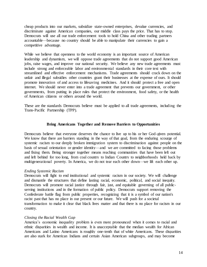cheap products into our markets, subsidize state-owned enterprises, devalue currencies, and discriminate against American companies, our middle class pays the price. That has to stop. Democrats will use all our trade enforcement tools to hold China and other trading partners accountable—because no country should be able to manipulate their currencies to gain a competitive advantage.

While we believe that openness to the world economy is an important source of American leadership and dynamism, we will oppose trade agreements that do not support good American jobs, raise wages, and improve our national security. We believe any new trade agreements must include strong and enforceable labor and environmental standards in their core text with streamlined and effective enforcement mechanisms. Trade agreements should crack down on the unfair and illegal subsidies other countries grant their businesses at the expense of ours. It should promote innovation of and access to lifesaving medicines. And it should protect a free and open internet. We should never enter into a trade agreement that prevents our government, or other governments, from putting in place rules that protect the environment, food safety, or the health of American citizens or others around the world.

These are the standards Democrats believe must be applied to all trade agreements, including the Trans-Pacific Partnership (TPP).

## **Bring Americans Together and Remove Barriers to Opportunities**

Democrats believe that everyone deserves the chance to live up to his or her God-given potential. We know that there are barriers standing in the way of that goal, from the enduring scourge of systemic racism to our deeply broken immigration system to discrimination against people on the basis of sexual orientation or gender identity—and we are committed to facing those problems and fixing them. Being stronger together means reaching communities that have been left out and left behind for too long, from coal country to Indian Country to neighborhoods held back by multigenerational poverty. In America, we do not tear each other down—we lift each other up.

#### *Ending Systemic Racism*

Democrats will fight to end institutional and systemic racism in our society. We will challenge and dismantle the structures that define lasting racial, economic, political, and social inequity. Democrats will promote racial justice through fair, just, and equitable governing of all publicserving institutions and in the formation of public policy. Democrats support removing the Confederate battle flag from public properties, recognizing that it is a symbol of our nation's racist past that has no place in our present or our future. We will push for a societal transformation to make it clear that black lives matter and that there is no place for racism in our country.

#### *Closing the Racial Wealth Gap*

America's economic inequality problem is even more pronounced when it comes to racial and ethnic disparities in wealth and income. It is unacceptable that the median wealth for African Americans and Latino Americans is roughly one-tenth that of white Americans. These disparities are also stark for American Indians and certain Asian American subgroups, and may become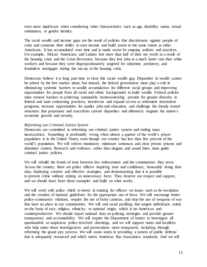even more significant when considering other characteristics such as age, disability status, sexual orientation, or gender identity.

The racial wealth and income gaps are the result of policies that discriminate against people of color and constrain their ability to earn income and build assets to the same extent as other Americans. It has accumulated over time and is made worse by ongoing policies and practices. For example, African Americans and Latinos lost more than half of their net worth as a result of the housing crisis and the Great Recession, because they lost jobs at a much faster rate than white workers and because they were disproportionately targeted for subprime, predatory, and fraudulent mortgages during the run-up to the housing crisis.

Democrats believe it is long past time to close this racial wealth gap. Disparities in wealth cannot be solved by the free market alone, but instead, the federal government must play a role in eliminating systemic barriers to wealth accumulation for different racial groups and improving opportunities for people from all racial and ethnic backgrounds to build wealth. Federal policies must remove barriers to achieving sustainable homeownership, provide for greater diversity in federal and state contracting practices, incentivize and expand access to retirement investment programs, increase opportunities for quality jobs and education, and challenge the deeply rooted structures that perpetuate and exacerbate current disparities and ultimately stagnate the nation's economic growth and security.

#### *Reforming our Criminal Justice System*

Democrats are committed to reforming our criminal justice system and ending mass incarceration. Something is profoundly wrong when almost a quarter of the world's prison population is in the United States, even though our country has less than five percent of the world's population. We will reform mandatory minimum sentences and close private prisons and detention centers. Research and evidence, rather than slogans and sound bites, must guide criminal justice policies.

We will rebuild the bonds of trust between law enforcement and the communities they serve. Across the country, there are police officers inspiring trust and confidence, honorably doing their duty, deploying creative and effective strategies, and demonstrating that it is possible to prevent crime without relying on unnecessary force. They deserve our respect and support, and we should learn from those examples and build on what works.

We will work with police chiefs to invest in training for officers on issues such as de-escalation and the creation of national guidelines for the appropriate use of force. We will encourage better police-community relations, require the use of body cameras, and stop the use of weapons of war that have no place in our communities. We will end racial profiling that targets individuals solely on the basis of race, religion, ethnicity, or national origin, which is un-American and counterproductive. We should report national data on policing strategies and provide greater transparency and accountability. We will require the Department of Justice to investigate all questionable or suspicious police-involved shootings, and we will support states and localities who help make those investigations and prosecutions more transparent, including through reforming the grand jury process. We will assist states in providing a system of public defense that is adequately resourced and which meets American Bar Association standards. And we will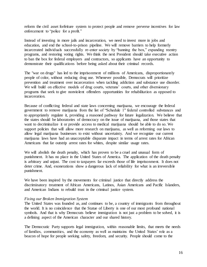reform the civil asset forfeiture system to protect people and remove perverse incentives for law enforcement to "police for a profit."

Instead of investing in more jails and incarceration, we need to invest more in jobs and education, and end the school-to-prison pipeline. We will remove barriers to help formerly incarcerated individuals successfully re-enter society by "banning the box," expanding reentry programs, and restoring voting rights. We think the next President should take executive action to ban the box for federal employers and contractors, so applicants have an opportunity to demonstrate their qualifications before being asked about their criminal records.

The "war on drugs" has led to the imprisonment of millions of Americans, disproportionately people of color, without reducing drug use. Whenever possible, Democrats will prioritize prevention and treatment over incarceration when tackling addiction and substance use disorder. We will build on effective models of drug courts, veterans' courts, and other diversionary programs that seek to give nonviolent offenders opportunities for rehabilitation as opposed to incarceration.

Because of conflicting federal and state laws concerning marijuana, we encourage the federal government to remove marijuana from the list of "Schedule 1" federal controlled substances and to appropriately regulate it, providing a reasoned pathway for future legalization. We believe that the states should be laboratories of democracy on the issue of marijuana, and those states that want to decriminalize it or provide access to medical marijuana should be able to do so. We support policies that will allow more research on marijuana, as well as reforming our laws to allow legal marijuana businesses to exist without uncertainty. And we recognize our current marijuana laws have had an unacceptable disparate impact in terms of arrest rates for African Americans that far outstrip arrest rates for whites, despite similar usage rates.

We will abolish the death penalty, which has proven to be a cruel and unusual form of punishment. It has no place in the United States of America. The application of the death penalty is arbitrary and unjust. The cost to taxpayers far exceeds those of life imprisonment. It does not deter crime. And, exonerations show a dangerous lack of reliability for what is an irreversible punishment.

We have been inspired by the movements for criminal justice that directly address the discriminatory treatment of African Americans, Latinos, Asian Americans and Pacific Islanders, and American Indians to rebuild trust in the criminal justice system.

#### *Fixing our Broken Immigration System*

The United States was founded as, and continues to be, a country of immigrants from throughout the world. It is no coincidence that the Statue of Liberty is one of our most profound national symbols. And that is why Democrats believe immigration is not just a problem to be solved, it is a defining aspect of the American character and our shared history.

The Democratic Party supports legal immigration, within reasonable limits, that meets the needs of families, communities, and the economy as well as maintains the United States' role as a beacon of hope for people seeking safety, freedom, and security. People should come to the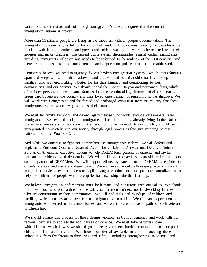United States with visas and not through smugglers. Yet, we recognize that the current immigration system is broken.

More than 11 million people are living in the shadows, without proper documentation. The immigration bureaucracy is full of backlogs that result in U.S. citizens waiting for decades to be reunited with family members, and green card holders waiting for years to be reunited with their spouses and minor children. The current quota system discriminates against certain immigrants, including immigrants of color, and needs to be reformed to the realities of the 21st century. And there are real questions about our detention and deportation policies that must be addressed.

Democrats believe we need to urgently fix our broken immigration system—which tears families apart and keeps workers in the shadows—and create a path to citizenship for law-abiding families who are here, making a better life for their families and contributing to their communities and our country. We should repeal the 3-year, 10-year and permanent bars, which often force persons in mixed status families into the heartbreaking dilemma of either pursuing a green card by leaving the country and their loved ones behind, or remaining in the shadows. We will work with Congress to end the forced and prolonged expulsion from the country that these immigrants endure when trying to adjust their status.

We must fix family backlogs and defend against those who would exclude or eliminate legal immigration avenues and denigrate immigrants. Those immigrants already living in the United States, who are assets to their communities and contribute so much to our country, should be incorporated completely into our society through legal processes that give meaning to our national motto: *E Pluribus Unum*.

And while we continue to fight for comprehensive immigration reform, we will defend and implement President Obama's Deferred Action for Childhood Arrivals and Deferred Action for Parents of Americans executive actions to help DREAMers, parents of citizens, and lawful permanent residents avoid deportation. We will build on these actions to provide relief for others, such as parents of DREAMers. We will support efforts by states to make DREAMers eligible for driver's licenses and in-state college tuition. We will invest in culturally-appropriate immigrant integration services, expand access to English language education, and promote naturalization to help the millions of people who are eligible for citizenship take that last step.

We believe immigration enforcement must be humane and consistent with our values. We should prioritize those who pose a threat to the safety of our communities, not hardworking families who are contributing to their communities. We will end raids and roundups of children and families, which unnecessarily sow fear in immigrant communities. We disfavor deportations of immigrants who served in our armed forces, and we want to create a faster path for such veterans to citizenship.

We should ensure due process for those fleeing violence in Central America and work with our regional partners to address the root causes of violence. We must take particular care with children, which is why we should guarantee government-funded counsel for unaccompanied children in immigration courts. We should consider all available means of protecting these individuals from the threats to their lives and safety—including strengthening in-country and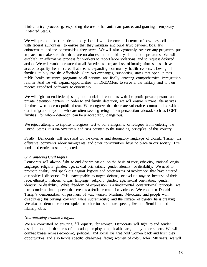third-country processing, expanding the use of humanitarian parole, and granting Temporary Protected Status.

We will promote best practices among local law enforcement, in terms of how they collaborate with federal authorities, to ensure that they maintain and build trust between local law enforcement and the communities they serve. We will also vigorously oversee any programs put in place, to make sure that there are no abuses and no arbitrary deportation programs. We will establish an affirmative process for workers to report labor violations and to request deferred action. We will work to ensure that all Americans—regardless of immigration status—have access to quality health care. That means expanding community health centers, allowing all families to buy into the Affordable Care Act exchanges, supporting states that open up their public health insurance programs to all persons, and finally enacting comprehensive immigration reform. And we will expand opportunities for DREAMers to serve in the military and to then receive expedited pathways to citizenship.

We will fight to end federal, state, and municipal contracts with for-profit private prisons and private detention centers. In order to end family detention, we will ensure humane alternatives for those who pose no public threat. We recognize that there are vulnerable communities within our immigration system who are often seeking refuge from persecution abroad, such as LGBT families, for whom detention can be unacceptably dangerous.

We reject attempts to impose a religious test to bar immigrants or refugees from entering the United States. It is un-American and runs counter to the founding principles of this country.

Finally, Democrats will not stand for the divisive and derogatory language of Donald Trump. His offensive comments about immigrants and other communities have no place in our society. This kind of rhetoric must be rejected.

## *Guaranteeing Civil Rights*

Democrats will always fight to end discrimination on the basis of race, ethnicity, national origin, language, religion, gender, age, sexual orientation, gender identity, or disability. We need to promote civility and speak out against bigotry and other forms of intolerance that have entered our political discourse. It is unacceptable to target, defame, or exclude anyone because of their race, ethnicity, national origin, language, religion, gender, age, sexual orientation, gender identity, or disability. While freedom of expression is a fundamental constitutional principle, we must condemn hate speech that creates a fertile climate for violence. We condemn Donald Trump's demonization of prisoners of war, women, Muslims, Mexicans, and people with disabilities; his playing coy with white supremacists; and the climate of bigotry he is creating. We also condemn the recent uptick in other forms of hate speech, like anti-Semitism and Islamophobia.

## *Guaranteeing Women's Rights*

We are committed to ensuring full equality for women. Democrats will fight to end gender discrimination in the areas of education, employment, health care, or any other sphere. We will combat biases across economic, political, and social life that hold women back and limit their opportunities and also tackle specific challenges facing women of color. After 240 years, we will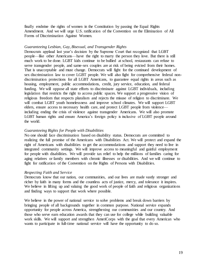finally enshrine the rights of women in the Constitution by passing the Equal Rights Amendment. And we will urge U.S. ratification of the Convention on the Elimination of All Forms of Discrimination Against Women.

#### *Guaranteeing Lesbian, Gay, Bisexual, and Transgender Rights*

Democrats applaud last year's decision by the Supreme Court that recognized that LGBT people—like other Americans—have the right to marry the person they love. But there is still much work to be done. LGBT kids continue to be bullied at school, restaurants can refuse to serve transgender people, and same-sex couples are at risk of being evicted from their homes. That is unacceptable and must change. Democrats will fight for the continued development of sex discrimination law to cover LGBT people. We will also fight for comprehensive federal nondiscrimination protections for all LGBT Americans, to guarantee equal rights in areas such as housing, employment, public accommodations, credit, jury service, education, and federal funding. We will oppose all state efforts to discriminate against LGBT individuals, including legislation that restricts the right to access public spaces. We support a progressive vision of religious freedom that respects pluralism and rejects the misuse of religion to discriminate. We will combat LGBT youth homelessness and improve school climates. We will support LGBT elders, ensure access to necessary health care, and protect LGBT people from violence including ending the crisis of violence against transgender Americans. We will also promote LGBT human rights and ensure America's foreign policy is inclusive of LGBT people around the world.

## *Guaranteeing Rights for People with Disabilities*

No one should face discrimination based on disability status. Democrats are committed to realizing the full promise of the Americans with Disabilities Act. We will protect and expand the right of Americans with disabilities to get the accommodations and support they need to live in integrated community settings. We will improve access to meaningful and gainful employment for people with disabilities. We will provide tax relief to help the millions of families caring for aging relatives or family members with chronic illnesses or disabilities. And we will continue to fight for ratification of the Convention on the Rights of Persons with Disabilities.

## *Respecting Faith and Service*

Democrats know that our nation, our communities, and our lives are made vastly stronger and richer by faith in many forms and the countless acts of justice, mercy, and tolerance it inspires. We believe in lifting up and valuing the good work of people of faith and religious organizations and finding ways to support that work where possible.

We believe in the power of national service to solve problems and break down barriers by bringing people of all backgrounds together in common purpose. National service expands opportunity for people across America, strengthening our communities and our country. And those who serve earn education awards that they can use for college while building valuable work skills. We will support and strengthen AmeriCorps with the goal that every American who wants to participate in full-time national service will have the opportunity to do so.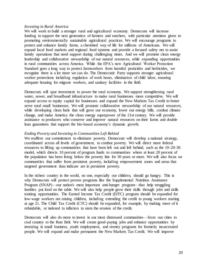#### *Investing in Rural America*

We will work to build a stronger rural and agricultural economy. Democrats will increase funding to support the next generation of farmers and ranchers, with particular attention given to promoting environmentally sustainable agricultural practices. We will encourage programs to protect and enhance family farms, a cherished way of life for millions of Americans. We will expand local food markets and regional food systems and provide a focused safety net to assist family operations that need support during challenging times. And we will promote clean energy leadership and collaborative stewardship of our natural resources, while expanding opportunities in rural communities across America. While the EPA's new Agricultural Worker Protection Standard goes a long way to protect farmworkers from harmful pesticides and herbicides, we recognize there is a lot more we can do. The Democratic Party supports stronger agricultural worker protections including regulation of work hours, elimination of child labor, ensuring adequate housing for migrant workers, and sanitary facilities in the field.

Democrats will spur investment to power the rural economy. We support strengthening rural water, sewer, and broadband infrastructure to make rural businesses more competitive. We will expand access to equity capital for businesses and expand the New Markets Tax Credit to better serve rural small businesses. We will promote collaborative stewardship of our natural resources, while developing clean fuels that will grow our economy, lower our energy bills, combat climate change, and make America the clean energy superpower of the 21st century. We will provide assistance to producers who conserve and improve natural resources on their farms and double loan guarantees that support the bio-based economy's dynamic growth.

#### *Ending Poverty and Investing in Communities Left Behind*

We reaffirm our commitment to eliminate poverty. Democrats will develop a national strategy, coordinated across all levels of government, to combat poverty. We will direct more federal resources to lifting up communities that have been left out and left behind, such as the 10-20-30 model, which directs 10 percent of program funds to communities where at least 20 percent of the population has been living below the poverty line for 30 years or more. We will also focus on communities that suffer from persistent poverty, including empowerment zones and areas that targeted government data indicate are in persistent poverty.

In the richest country in the world, no one, especially our children, should go hungry. This is why Democrats will protect proven programs like the Supplemental Nutrition Assistance Program (SNAP)—our nation's most important anti-hunger program—that help struggling families put food on the table. We will also help people grow their skills through jobs and skills training opportunities. The Earned Income Tax Credit (EITC) program should be expanded for low-wage workers not raising children, including extending the credit to young workers starting at age 21. The Child Tax Credit (CTC) should be expanded, for example, by making more of it refundable, or indexed to inflation to stem the erosion of the credit.

Democrats will also do more to invest in our most distressed communities—from our cities to coal country to the Rust Belt. We will create good-paying jobs and enhance opportunities by investing in small business, youth employment, and reentry programs for formerly incarcerated people. We will expand and make permanent the New Markets Tax Credit. We will improve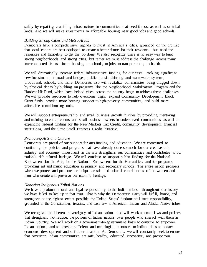safety by repairing crumbling infrastructure in communities that need it most as well as on tribal lands. And we will make investments in affordable housing near good jobs and good schools.

## *Building Strong Cities and Metro Areas*

Democrats have a comprehensive agenda to invest in America's cities, grounded on the premise that local leaders are best equipped to create a better future for their residents—but need the resources and flexibility to get the job done. We also recognize there is no easy way to build strong neighborhoods and strong cities, but rather we must address the challenge across many interconnected fronts—from housing, to schools, to jobs, to transportation, to health.

We will dramatically increase federal infrastructure funding for our cities—making significant new investments in roads and bridges, public transit, drinking and wastewater systems, broadband, schools, and more. Democrats also will revitalize communities being dragged down by physical decay by building on programs like the Neighborhood Stabilization Program and the Hardest Hit Fund, which have helped cities across the country begin to address these challenges. We will provide resources to help overcome blight, expand Community Development Block Grant funds, provide more housing support to high-poverty communities, and build more affordable rental housing units.

We will support entrepreneurship and small business growth in cities by providing mentoring and training to entrepreneurs and small business owners in underserved communities as well as expanding federal funding for the New Markets Tax Credit, community development financial institutions, and the State Small Business Credit Initiative.

## *Promoting Arts and Culture*

Democrats are proud of our support for arts funding and education. We are committed to continuing the policies and programs that have already done so much for our creative arts industry and economy. Investment in the arts strengthens our communities and contributes to our nation's rich cultural heritage. We will continue to support public funding for the National Endowment for the Arts, for the National Endowment for the Humanities, and for programs providing art and music education in primary and secondary schools. The entire nation prospers when we protect and promote the unique artistic and cultural contributions of the women and men who create and preserve our nation's heritage.

#### *Honoring Indigenous Tribal Nations*

We have a profound moral and legal responsibility to the Indian tribes—throughout our history we have failed to live up to that trust. That is why the Democratic Party will fulfill, honor, and strengthen to the highest extent possible the United States' fundamental trust responsibility, grounded in the Constitution, treaties, and case law to American Indian and Alaska Native tribes.

We recognize the inherent sovereignty of Indian nations and will work to enact laws and policies that strengthen, not reduce, the powers of Indian nations over people who interact with them in Indian Country. We will work on a government-to-government basis to continue to empower Indian nations, and to provide sufficient and meaningful resources to Indian tribes to bolster economic development and self-determination. As Democrats, we will constantly seek to ensure that American Indian communities are safe, healthy, educated, innovative, and prosperous.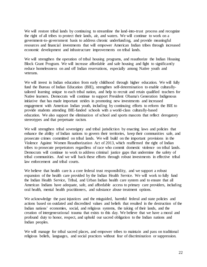We will restore tribal lands by continuing to streamline the land-into-trust process and recognize the right of all tribes to protect their lands, air, and waters. We will continue to work on a government-to-government basis to address chronic underfunding, and provide meaningful resources and financial investments that will empower American Indian tribes through increased economic development and infrastructure improvements on tribal lands.

We will strengthen the operation of tribal housing programs, and reauthorize the Indian Housing Block Grant Program. We will increase affordable and safe housing and fight to significantly reduce homelessness on and off Indian reservations, especially among Native youth and veterans.

We will invest in Indian education from early childhood through higher education. We will fully fund the Bureau of Indian Education (BIE), strengthen self-determination to enable culturallytailored learning unique to each tribal nation, and help to recruit and retain qualified teachers for Native learners. Democrats will continue to support President Obama's Generation Indigenous initiative that has made important strides in promoting new investments and increased engagement with American Indian youth, including by continuing efforts to reform the BIE to provide students attending BIE-funded schools with a world-class culturally-based education. We also support the elimination of school and sports mascots that reflect derogatory stereotypes and that perpetuate racism.

We will strengthen tribal sovereignty and tribal jurisdiction by enacting laws and policies that enhance the ability of Indian nations to govern their territories, keep their communities safe, and prosecute crimes committed on tribal lands. We will build on the important provisions in the Violence Against Women Reauthorization Act of 2013, which reaffirmed the right of Indian tribes to prosecute perpetrators regardless of race who commit domestic violence on tribal lands. Democrats will continue to work to address criminal justice gaps that undermine the safety of tribal communities. And we will back these efforts through robust investments in effective tribal law enforcement and tribal courts.

We believe that health care is a core federal trust responsibility, and we support a robust expansion of the health care provided by the Indian Health Service. We will work to fully fund the Indian Health Service, Tribal, and Urban Indian health care system and to ensure that all American Indians have adequate, safe, and affordable access to primary care providers, including oral health, mental health practitioners, and substance abuse treatment options.

We acknowledge the past injustices and the misguided, harmful federal and state policies and actions based on outdated and discredited values and beliefs that resulted in the destruction of the Indian nations' economies, social, and religious systems, the taking of their lands, and the creation of intergenerational trauma that exists to this day. We believe that we have a moral and profound duty to honor, respect, and uphold our sacred obligation to the Indian nations and Indian peoples.

We will manage for tribal sacred places, and empower tribes to maintain and pass on traditional religious beliefs, languages, and social practices without fear of discrimination or suppression.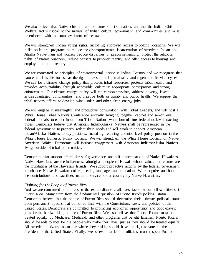We also believe that Native children are the future of tribal nations and that the Indian Child Welfare Act is critical to the survival of Indian culture, government, and communities and must be enforced with the statutory intent of the law.

We will strengthen Indian voting rights, including improved access to polling locations. We will build on federal programs to reduce the disproportionate incarceration of American Indian and Alaska Native men and women, reduce disparities in prison sentencing, protect the religious rights of Native prisoners, reduce barriers to prisoner reentry, and offer access to housing and employment upon reentry.

We are committed to principles of environmental justice in Indian Country and we recognize that nature in all its life forms has the right to exist, persist, maintain, and regenerate its vital cycles. We call for a climate change policy that protects tribal resources, protects tribal health, and provides accountability through accessible, culturally appropriate participation and strong enforcement. Our climate change policy will cut carbon emission, address poverty, invest in disadvantaged communities, and improve both air quality and public health. We support the tribal nations efforts to develop wind, solar, and other clean energy jobs.

We will engage in meaningful and productive consultation with Tribal Leaders, and will host a White House Tribal Nations Conference annually bringing together cabinet and senior level federal officials to gather input from Tribal Nations when formulating federal policy impacting tribes. Democrats believe that American Indian/Alaska Natives shall be represented in the federal government to properly reflect their needs and will work to appoint American Indian/Alaska Natives to key positions, including retaining a senior level policy position in the White House Domestic Policy Council. We will strengthen the White House Council on Native American Affairs. Democrats will increase engagement with American Indians/Alaska Natives living outside of tribal communities.

Democrats also support efforts for self-governance and self-determination of Native Hawaiians. Native Hawaiians are the indigenous, aboriginal people of Hawai'i whose values and culture are the foundation of the Hawaiian Islands. We support proactive actions by the federal government to enhance Native Hawaiian culture, health, language, and education. We recognize and honor the contributions and sacrifices made in service to our country by Native Hawaiians.

## *Fighting for the People of Puerto Rico*

And we are committed to addressing the extraordinary challenges faced by our fellow citizens in Puerto Rico. Many stem from the fundamental question of Puerto Rico's political status. Democrats believe that the people of Puerto Rico should determine their ultimate political status from permanent options that do not conflict with the Constitution, laws, and policies of the United States. Democrats are committed to promoting economic opportunity and good-paying jobs for the hardworking people of Puerto Rico. We also believe that Puerto Ricans must be treated equally by Medicare, Medicaid, and other programs that benefit families. Puerto Ricans should be able to vote for the people who make their laws, just as they should be treated equally. All American citizens, no matter where they reside, should have the right to vote for the President of the United States. Finally, we believe that federal officials must respect Puerto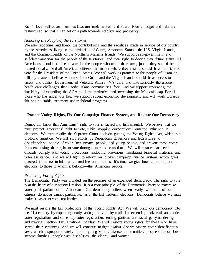Rico's local self-government as laws are implemented and Puerto Rico's budget and debt are restructured so that it can get on a path towards stability and prosperity.

## *Honoring the People of the Territories*

We also recognize and honor the contributions and the sacrifices made in service of our country by the Americans living in the territories of Guam, American Samoa, the U.S. Virgin Islands, and the Commonwealth of the Northern Mariana Islands. We support self-government and self-determination for the people of the territories, and their right to decide their future status. All Americans should be able to vote for the people who make their laws, just as they should be treated equally. And all American citizens, no matter where they reside, should have the right to vote for the President of the United States. We will work as partners to the people of Guam on military matters, believe veterans from Guam and the Virgin Islands should have access to timely and quality Department of Veterans Affairs (VA) care, and take seriously the unique health care challenges that Pacific Island communities face. And we support reviewing the feasibility of extending the ACA to all the territories and increasing the Medicaid cap. For all those who live under our flag, we support strong economic development and will work towards fair and equitable treatment under federal programs.

## **Protect Voting Rights, Fix Our Campaign Finance System, and Restore Our Democracy**

Democrats know that Americans' right to vote is sacred and fundamental. We believe that we must protect Americans' right to vote, while stopping corporations' outsized influence in elections. We must rectify the Supreme Court decision gutting the Voting Rights Act, which is a profound injustice. We will stop efforts by Republican governors and legislatures to disenfranchise people of color, low-income people, and young people, and prevent these voters from exercising their right to vote through onerous restrictions. We will ensure that election officials comply with voting protections, including provisions mandating bilingual materials and voter assistance. And we will fight to reform our broken campaign finance system, which gives outsized influence to billionaires and big corporations. It's time we give back control of our elections to those to whom it belongs—the American people.

## *Protecting Voting Rights*

The Democratic Party was founded on the promise of an expanded democracy. The right to vote is at the heart of our national vision. It is a core principle of the Democratic Party to maximize voter participation for all Americans. Our democracy suffers when nearly two thirds of our citizens do not or cannot participate, as in the last midterm elections. Democrats believe we must make it easier to vote, not harder.

We must restore the full protections of the Voting Rights Act. We will bring our democracy into the 21st century by expanding early voting and vote-by-mail, implementing universal automatic voter registration and same day voter registration, ending partisan and racial gerrymandering, and making Election Day a national holiday. We will restore voting rights for those who have served their sentences. And we will continue to fight against discriminatory voter identification laws, which disproportionately burden young voters, diverse communities, people of color, lowincome families, people with disabilities, the elderly, and women.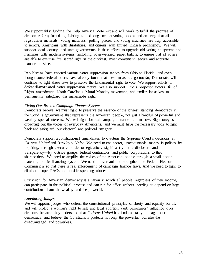We support fully funding the Help America Vote Act and will work to fulfill the promise of election reform, including fighting to end long lines at voting booths and ensuring that all registration materials, voting materials, polling places, and voting machines are truly accessible to seniors, Americans with disabilities, and citizens with limited English proficiency. We will support local, county, and state governments in their efforts to upgrade old voting equipment and machines with modern systems, including voter-verified paper ballots, to ensure that all voters are able to exercise this sacred right in the quickest, most convenient, secure and accurate manner possible.

Republicans have enacted various voter suppression tactics from Ohio to Florida, and even though some federal courts have already found that these measures go too far, Democrats will continue to fight these laws to preserve the fundamental right to vote. We support efforts to defeat ill-motivated voter suppression tactics. We also support Ohio's proposed Voters Bill of Rights amendment, North Carolina's Moral Monday movement, and similar initiatives to permanently safeguard this inalienable right.

#### *Fixing Our Broken Campaign Finance System*

Democrats believe we must fight to preserve the essence of the longest standing democracy in the world: a government that represents the American people, not just a handful of powerful and wealthy special interests. We will fight for real campaign finance reform now. Big money is drowning out the voices of everyday Americans, and we must have the necessary tools to fight back and safeguard our electoral and political integrity.

Democrats support a constitutional amendment to overturn the Supreme Court's decisions in *Citizens United* and *Buckley v. Valeo*. We need to end secret, unaccountable money in politics by requiring, through executive order or legislation, significantly more disclosure and transparency—by outside groups, federal contractors, and public corporations to their shareholders. We need to amplify the voices of the American people through a small donor matching public financing system. We need to overhaul and strengthen the Federal Election Commission so that there is real enforcement of campaign finance laws. And we need to fight to eliminate super PACs and outside spending abuses.

Our vision for American democracy is a nation in which all people, regardless of their income, can participate in the political process and can run for office without needing to depend on large contributions from the wealthy and the powerful.

#### *Appointing Judges*

We will appoint judges who defend the constitutional principles of liberty and equality for all, and will protect a woman's right to safe and legal abortion, curb billionaires' influence over elections because they understand that *Citizens United* has fundamentally damaged our democracy, and believe the Constitution protects not only the powerful, but also the disadvantaged and powerless.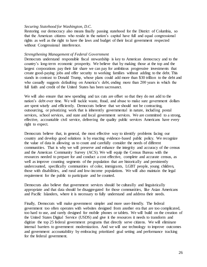## *Securing Statehood for Washington, D.C.*

Restoring our democracy also means finally passing statehood for the District of Columbia, so that the American citizens who reside in the nation's capital have full and equal congressional rights as well as the right to have the laws and budget of their local government respected without Congressional interference.

## *Strengthening Management of Federal Government*

Democrats understand responsible fiscal stewardship is key to American democracy and to the country's long-term economic prosperity. We believe that by making those at the top and the largest corporations pay their fair share we can pay for ambitious progressive investments that create good-paying jobs and offer security to working families without adding to the debt. This stands in contrast to Donald Trump, whose plans could add more than \$30 trillion to the debt and who casually suggests defaulting on America's debt, ending more than 200 years in which the full faith and credit of the United States has been sacrosanct.

We will also ensure that new spending and tax cuts are offset so that they do not add to the nation's debt over time. We will tackle waste, fraud, and abuse to make sure government dollars are spent wisely and efficiently. Democrats believe that we should not be contracting, outsourcing, or privatizing work that is inherently governmental in nature, including postal services, school services, and state and local government services. We are committed to a strong, effective, accountable civil service, delivering the quality public services Americans have every right to expect.

Democrats believe that, in general, the most effective way to identify problems facing our country and develop good solutions is by enacting evidence-based public policy. We recognize the value of data in allowing us to count and carefully consider the needs of different communities. That is why we will preserve and enhance the integrity and accuracy of the census and the American Community Survey (ACS). We will equip the Census Bureau with the resources needed to prepare for and conduct a cost effective, complete and accurate census, as well as improve counting segments of the population that are historically and persistently undercounted, specifically communities of color, immigrants, LGBT people, young children, those with disabilities, and rural and low-income populations. We will also maintain the legal requirement for the public to participate and be counted.

Democrats also believe that government services should be culturally and linguistically appropriate and that data should be disaggregated for those communities, like Asian Americans and Pacific Islanders, where it is necessary to fully understand and address their needs.

Finally, Democrats will make government simpler and more user-friendly. The federal government too often operates with websites designed from another era that are too complicated, too hard to use, and rarely designed for mobile phones or tablets. We will build on the creation of the United States Digital Service (USDS) and give it the resources it needs to transform and digitize the top 25 federal government programs that directly serve citizens. We will eliminate internal barriers to government modernization. And we will use technology to improve outcomes and government accountability by embracing prioritized goal setting and performance tracking for the federal government.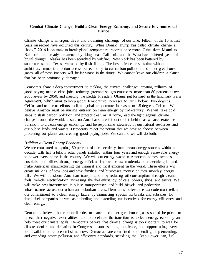## **Combat Climate Change, Build a Clean Energy Economy, and Secure Environmental Justice**

Climate change is an urgent threat and a defining challenge of our time. Fifteen of the 16 hottest years on record have occurred this century. While Donald Trump has called climate change a "hoax," 2016 is on track to break global temperature records once more. Cities from Miami to Baltimore are already threatened by rising seas. California and the West have suffered years of brutal drought. Alaska has been scorched by wildfire. New York has been battered by superstorms, and Texas swamped by flash floods. The best science tells us that without ambitious, immediate action across our economy to cut carbon pollution and other greenhouse gases, all of these impacts will be far worse in the future. We cannot leave our children a planet that has been profoundly damaged.

Democrats share a deep commitment to tackling the climate challenge; creating millions of good-paying middle class jobs; reducing greenhouse gas emissions more than 80 percent below 2005 levels by 2050; and meeting the pledge President Obama put forward in the landmark Paris Agreement, which aims to keep global temperature increases to "well below" two degrees Celsius and to pursue efforts to limit global temperature increases to 1.5 degrees Celsius. We believe America must be running entirely on clean energy by mid-century. We will take bold steps to slash carbon pollution and protect clean air at home, lead the fight against climate change around the world, ensure no Americans are left out or left behind as we accelerate the transition to a clean energy economy, and be responsible stewards of our natural resources and our public lands and waters. Democrats reject the notion that we have to choose between protecting our planet and creating good-paying jobs. We can and we will do both.

#### *Building a Clean Energy Economy*

We are committed to getting 50 percent of our electricity from clean energy sources within a decade, with half a billion solar panels installed within four years and enough renewable energy to power every home in the country. We will cut energy waste in American homes, schools, hospitals, and offices through energy efficient improvements; modernize our electric grid; and make American manufacturing the cleanest and most efficient in the world. These efforts will create millions of new jobs and save families and businesses money on their monthly energy bills. We will transform American transportation by reducing oil consumption through cleaner fuels, vehicle electrification increasing the fuel efficiency of cars, boilers, ships, and trucks. We will make new investments in public transportation and build bicycle and pedestrian infrastructure across our urban and suburban areas. Democrats believe the tax code must reflect our commitment to a clean energy future by eliminating special tax breaks and subsidies for fossil fuel companies as well as defending and extending tax incentives for energy efficiency and clean energy.

Democrats believe that carbon dioxide, methane, and other greenhouse gases should be priced to reflect their negative externalities, and to accelerate the transition to a clean energy economy and help meet our climate goals. Democrats believe that climate change is too important to wait for climate deniers and defeatists in Congress to start listening to science, and support using every tool available to reduce emissions now. Democrats are committed to defending, implementing, and extending smart pollution and efficiency standards, including the Clean Power Plan, fuel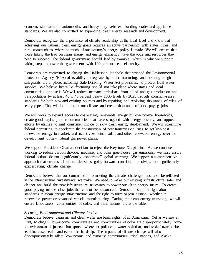economy standards for automobiles and heavy-duty vehicles, building codes and appliance standards. We are also committed to expanding clean energy research and development.

Democrats recognize the importance of climate leadership at the local level and know that achieving our national clean energy goals requires an active partnership with states, cities, and rural communities where so much of our country's energy policy is made. We will ensure that those taking the lead on clean energy and energy efficiency have the tools and resources they need to succeed. The federal government should lead by example, which is why we support taking steps to power the government with 100 percent clean electricity.

Democrats are committed to closing the Halliburton loophole that stripped the Environmental Protection Agency (EPA) of its ability to regulate hydraulic fracturing, and ensuring tough safeguards are in place, including Safe Drinking Water Act provisions, to protect local water supplies. We believe hydraulic fracturing should not take place where states and local communities oppose it. We will reduce methane emissions from all oil and gas production and transportation by at least 40 to 45 percent below 2005 levels by 2025 through common-sense standards for both new and existing sources and by repairing and replacing thousands of miles of leaky pipes. This will both protect our climate and create thousands of good-paying jobs.

We will work to expand access to cost-saving renewable energy by low-income households, create good-paying jobs in communities that have struggled with energy poverty, and oppose efforts by utilities to limit consumer choice or slow clean energy deployment. We will streamline federal permitting to accelerate the construction of new transmission lines to get low-cost renewable energy to market, and incentivize wind, solar, and other renewable energy over the development of new natural gas power plants.

We support President Obama's decision to reject the Keystone XL pipeline. As we continue working to reduce carbon dioxide, methane, and other greenhouse gas emissions, we must ensure federal actions do not "significantly exacerbate" global warming. We support a comprehensive approach that ensures all federal decisions going forward contribute to solving, not significantly exacerbating, climate change.

Democrats believe that our commitment to meeting the climate challenge must also be reflected in the infrastructure investments we make. We need to make our existing infrastructure safer and cleaner and build the new infrastructure necessary to power our clean energy future. To create good-paying middle class jobs that cannot be outsourced, Democrats support high labor standards in clean energy infrastructure and the right to form or join a union, whether in renewable power or advanced vehicle manufacturing. During the clean energy transition, we will ensure landowners, communities of color, and tribal nations are at the table.

#### *Securing Environmental and Climate Justice*

Democrats believe clean air and clean water are basic rights of all Americans. Yet as we saw in Flint, Michigan, low-income communities and communities of color are disproportionately home to environmental justice "hot spots," where air pollution, water pollution, and toxic hazards like lead increase health and economic hardship. The impacts of climate change will also disproportionately affect low-income and minority communities, tribal nations, and Alaska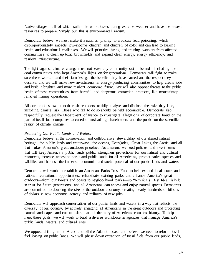Native villages—all of which suffer the worst losses during extreme weather and have the fewest resources to prepare. Simply put, this is environmental racism.

Democrats believe we must make it a national priority to eradicate lead poisoning, which disproportionately impacts low-income children and children of color and can lead to lifelong health and educational challenges. We will prioritize hiring and training workers from affected communities to clean up toxic brownfields and expand clean energy, energy efficiency, and resilient infrastructure.

The fight against climate change must not leave any community out or behind—including the coal communities who kept America's lights on for generations. Democrats will fight to make sure these workers and their families get the benefits they have earned and the respect they deserve, and we will make new investments in energy-producing communities to help create jobs and build a brighter and more resilient economic future. We will also oppose threats to the public health of these communities from harmful and dangerous extraction practices, like mountaintop removal mining operations.

All corporations owe it to their shareholders to fully analyze and disclose the risks they face, including climate risk. Those who fail to do so should be held accountable. Democrats also respectfully request the Department of Justice to investigate allegations of corporate fraud on the part of fossil fuel companies accused of misleading shareholders and the public on the scientific reality of climate change.

## *Protecting Our Public Lands and Waters*

Democrats believe in the conservation and collaborative stewardship of our shared natural heritage: the public lands and waterways, the oceans, Everglades, Great Lakes, the Arctic, and all that makes America's great outdoors priceless. As a nation, we need policies and investments that will keep America's public lands public, strengthen protections for our natural and cultural resources, increase access to parks and public lands for all Americans, protect native species and wildlife, and harness the immense economic and social potential of our public lands and waters.

Democrats will work to establish an American Parks Trust Fund to help expand local, state, and national recreational opportunities, rehabilitate existing parks, and enhance America's great outdoors—from our forests and coasts to neighborhood parks—so "America's Best Idea" is held in trust for future generations, and all Americans can access and enjoy natural spaces. Democrats are committed to doubling the size of the outdoor economy, creating nearly hundreds of billions of dollars in new economic activity and millions of new jobs.

Democrats will approach conservation of our public lands and waters in a way that reflects the diversity of our country, by actively engaging all Americans in the great outdoors and protecting natural landscapes and cultural sites that tell the story of America's complex history. To help meet these goals, we will work to build a diverse workforce in agencies that manage America's public lands, waters, and cultural sites.

We oppose drilling in the Arctic and off the Atlantic coast, and believe we need to reform fossil fuel leasing on public lands. We will phase down extraction of fossil fuels from our public lands,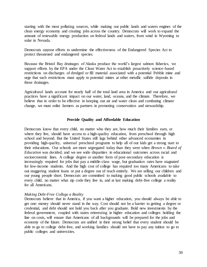starting with the most polluting sources, while making our public lands and waters engines of the clean energy economy and creating jobs across the country. Democrats will work to expand the amount of renewable energy production on federal lands and waters, from wind in Wyoming to solar in Nevada.

Democrats oppose efforts to undermine the effectiveness of the Endangered Species Act to protect threatened and endangered species.

Because the Bristol Bay drainages of Alaska produce the world's largest salmon fisheries, we support efforts by the EPA under the Clean Water Act to establish proactively science-based restrictions on discharges of dredged or fill material associated with a potential Pebble mine and urge that such restrictions must apply to potential mines at other metallic sulfide deposits in those drainages.

Agricultural lands account for nearly half of the total land area in America and our agricultural practices have a significant impact on our water, land, oceans, and the climate. Therefore, we believe that in order to be effective in keeping our air and water clean and combating climate change, we must enlist farmers as partners in promoting conservation and stewardship.

#### **Provide Quality and Affordable Education**

Democrats know that every child, no matter who they are, how much their families earn, or where they live, should have access to a high-quality education, from preschool through high school and beyond. But the United States still lags behind other advanced economies in providing high-quality, universal preschool programs to help all of our kids get a strong start to their educations. Our schools are more segregated today than they were when *Brown v. Board of Education* was decided, and we see wide disparities in educational outcomes across racial and socioeconomic lines. A college degree or another form of post-secondary education is increasingly required for jobs that pay a middle-class wage, but graduation rates have stagnated for low-income students. And the high cost of college has required too many Americans to take out staggering student loans or put a degree out of reach entirely. We are selling our children and our young people short. Democrats are committed to making good public schools available to every child, no matter what zip code they live in, and at last making debt-free college a reality for all Americans.

#### *Making Debt-Free College a Reality*

Democrats believe that in America, if you want a higher education, you should always be able to get one: money should never stand in the way. Cost should not be a barrier to getting a degree or credential, and debt should not hold you back after you graduate. Bold new investments by the federal government, coupled with states reinvesting in higher education and colleges holding the line on costs, will ensure that Americans of all backgrounds will be prepared for the jobs and economy of the future. Democrats are unified in their strong belief that every student should be able to go to college debt-free, and working families should not have to pay any tuition to go to public colleges and universities.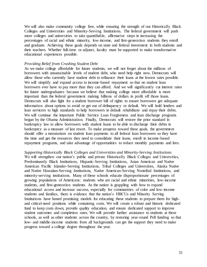We will also make community college free, while ensuring the strength of our Historically Black Colleges and Universities and Minority-Serving Institutions. The federal government will push more colleges and universities to take quantifiable, affirmative steps in increasing the percentages of racial and ethnic minority, low-income, and first-generation students they enroll and graduate. Achieving these goals depends on state and federal investment in both students and their teachers. Whether full-time or adjunct, faculty must be supported to make transformative educational experiences possible.

#### *Providing Relief from Crushing Student Debt*

As we make college affordable for future students, we will not forget about the millions of borrowers with unsustainable levels of student debt, who need help right now. Democrats will allow those who currently have student debt to refinance their loans at the lowest rates possible. We will simplify and expand access to income-based repayment so that no student loan borrowers ever have to pay more than they can afford. And we will significantly cut interest rates for future undergraduates because we believe that making college more affordable is more important than the federal government making billions of dollars in profit off those loans. Democrats will also fight for a student borrower bill of rights to ensure borrowers get adequate information about options to avoid or get out of delinquency or default. We will hold lenders and loan servicers to high standards to help borrowers in default rehabilitate and repay their debts. We will continue the important Public Service Loan Forgiveness and loan discharge programs begun by the Obama Administration. Finally, Democrats will restore the prior standard in bankruptcy law to allow borrowers with student loans to be able to discharge their debts in bankruptcy as a measure of last resort. To make progress toward these goals, the government should offer a moratorium on student loan payments to all federal loan borrowers so they have the time and get the resources they need to consolidate their loans, enroll in income-based repayment programs, and take advantage of opportunities to reduce monthly payments and fees.

*Supporting Historically Black Colleges and Universities and Minority-Serving Institutions* We will strengthen our nation's public and private Historically Black Colleges and Universities, Predominantly Black Institutions, Hispanic-Serving Institutions, Asian American and Native American Pacific Islander-Serving Institutions, Tribal Colleges and Universities, Alaska Native and Native Hawaiian-Serving Institutions, Native American-Serving Nontribal Institutions, and minority-serving institutions. Many of these schools educate disproportionate percentages of growing populations of Americans: students who are racial and ethnic minorities, low-income students, and first-generation students. As the nation is grappling with how to expand educational access and increase success, especially for communities of color and low-income students and families, there is evidence that the nation's HBCUs and Minority Serving Institutions have honed promising models for educating these students to prepare them for highand critical-need positions while containing costs. We will create a robust and historic dedicated fund to keep costs down, provide quality education, and ensure dedicated support to improve student outcomes and completion rates. We will provide further assistance to students at these schools, as well as other students across the country, by restoring year-round Pell funding so that low- and middle-income students from all backgrounds can get the support they need to make progress toward a college degree throughout the year.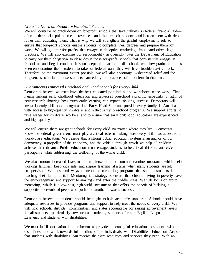## *Cracking Down on Predatory For-Profit Schools*

We will continue to crack down on for-profit schools that take millions in federal financial aid often as their principal source of revenue—and then exploit students and burden them with debt rather than educating them. That is why we will strengthen the gainful employment rule to ensure that for-profit schools enable students to complete their degrees and prepare them for work. We will go after for-profits that engage in deceptive marketing, fraud, and other illegal practices. We will also exercise our responsibility in oversight over the Department of Education to carry out their obligation to close down those for-profit schools that consistently engage in fraudulent and illegal conduct. It is unacceptable that for-profit schools with low graduation rates keep encouraging their students to take out federal loans they will have trouble paying back. Therefore, to the maximum extent possible, we will also encourage widespread relief and the forgiveness of debt to those students harmed by the practices of fraudulent institutions.

## *Guaranteeing Universal Preschool and Good Schools for Every Child*

Democrats believe we must have the best-educated population and workforce in the world. That means making early childhood education and universal preschool a priority, especially in light of new research showing how much early learning can impact life-long success. Democrats will invest in early childhood programs like Early Head Start and provide every family in America with access to high-quality childcare and high-quality preschool programs. We support efforts to raise wages for childcare workers, and to ensure that early childhood educators are experienced and high-quality.

We will ensure there are great schools for every child no matter where they live. Democrats know the federal government must play a critical role in making sure every child has access to a world-class education. We believe that a strong public education system is an anchor of our democracy, a propeller of the economy, and the vehicle through which we help all children achieve their dreams. Public education must engage students to be critical thinkers and civic participants while addressing the wellbeing of the whole child.

We also support increased investments in afterschool and summer learning programs, which help working families, keep kids safe, and inspire learning at a time when many students are left unsupervised. We must find ways to encourage mentoring programs that support students in reaching their full potential. Mentoring is a strategy to ensure that children living in poverty have the encouragement and support to aim high and enter the middle class. We will focus on group mentoring, which is a low-cost, high-yield investment that offers the benefit of building a supportive network of peers who push one another towards success.

Democrats believe all students should be taught to high academic standards. Schools should have adequate resources to provide programs and support to help meet the needs of every child. We will hold schools, districts, communities, and states accountable for raising achievement levels for all students—particularly low-income students, students of color, English Language Learners, and students with disabilities.

We must fulfill our national commitment to provide a meaningful education to students with disabilities, and work towards full funding of the Individuals with Disabilities Education Act so that students with disabilities can receive the extra resources and services they need. With an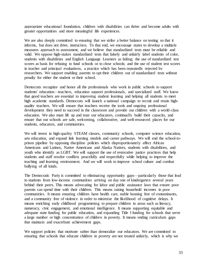appropriate educational foundation, children with disabilities can thrive and become adults with greater opportunities and more meaningful life experiences.

We are also deeply committed to ensuring that we strike a better balance on testing so that it informs, but does not drive, instruction. To that end, we encourage states to develop a multiple measures approach to assessment, and we believe that standardized tests must be reliable and valid. We oppose high-stakes standardized tests that falsely and unfairly label students of color, students with disabilities and English Language Learners as failing; the use of standardized test scores as basis for refusing to fund schools or to close schools; and the use of student test scores in teacher and principal evaluations, a practice which has been repeatedly rejected by researchers. We support enabling parents to opt their children out of standardized tests without penalty for either the student or their school.

Democrats recognize and honor all the professionals who work in public schools to support students' education—teachers, education support professionals, and specialized staff. We know that good teachers are essential to improving student learning and helping all students to meet high academic standards. Democrats will launch a national campaign to recruit and retain highquality teachers. We will ensure that teachers receive the tools and ongoing professional development they need to succeed in the classroom and provide our children with a world-class education. We also must lift up and trust our educators, continually build their capacity, and ensure that our schools are safe, welcoming, collaborative, and well-resourced places for our students, educators, and communities.

We will invest in high-quality STEAM classes, community schools, computer science education, arts education, and expand link learning models and career pathways. We will end the school-toprison pipeline by opposing discipline policies which disproportionately affect African Americans and Latinos, Native Americans and Alaska Natives, students with disabilities, and youth who identify as LGBT. We will support the use of restorative justice practices that help students and staff resolve conflicts peacefully and respectfully while helping to improve the teaching and learning environment. And we will work to improve school culture and combat bullying of all kinds.

The Democratic Party is committed to eliminating opportunity gaps—particularly those that lead to students from low-income communities arriving on day one of kindergarten several years behind their peers. This means advocating for labor and public assistance laws that ensure poor parents can spend time with their children. This means raising household incomes in poor communities. It means ensuring children have health care, stable housing free of contaminants, and a community free of violence in order to minimize the likelihood of cognitive delays. It means enriching early childhood programming to prepare children in areas such as literacy, numeracy, civic engagement, and emotional intelligence. It means supporting equitable and adequate state funding for public education, and expanding Title I funding for schools that serve a large number or high concentration of children in poverty. It means ending curriculum gaps that maintain and exacerbate achievement gaps.

We support policies that motivate rather than demoralize our educators. We are committed to ensuring that schools that educate children in poverty are not treated unfairly, which is why we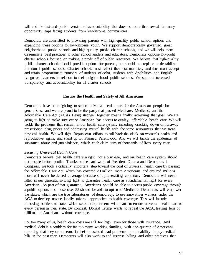will end the test-and-punish version of accountability that does no more than reveal the many opportunity gaps facing students from low-income communities.

Democrats are committed to providing parents with high-quality public school options and expanding these options for low-income youth. We support democratically governed, great neighborhood public schools and high-quality public charter schools, and we will help them disseminate best practices to other school leaders and educators. Democrats oppose for-profit charter schools focused on making a profit off of public resources. We believe that high-quality public charter schools should provide options for parents, but should not replace or destabilize traditional public schools. Charter schools must reflect their communities, and thus must accept and retain proportionate numbers of students of color, students with disabilities and English Language Learners in relation to their neighborhood public schools. We support increased transparency and accountability for all charter schools.

#### **Ensure the Health and Safety of All Americans**

Democrats have been fighting to secure universal health care for the American people for generations, and we are proud to be the party that passed Medicare, Medicaid, and the Affordable Care Act (ACA). Being stronger together means finally achieving that goal. We are going to fight to make sure every American has access to quality, affordable health care. We will tackle the problems that remain in our health care system, including cracking down on runaway prescription drug prices and addressing mental health with the same seriousness that we treat physical health. We will fight Republican efforts to roll back the clock on women's health and reproductive rights, and stand up for Planned Parenthood. And we will tackle the epidemics of substance abuse and gun violence, which each claim tens of thousands of lives every year.

#### *Securing Universal Health Care*

Democrats believe that health care is a right, not a privilege, and our health care system should put people before profits. Thanks to the hard work of President Obama and Democrats in Congress, we took a critically important step toward the goal of universal health care by passing the Affordable Care Act, which has covered 20 million more Americans and ensured millions more will never be denied coverage because of a pre-existing condition. Democrats will never falter in our generations-long fight to guarantee health care as a fundamental right for every American. As part of that guarantee, Americans should be able to access public coverage through a public option, and those over 55 should be able to opt in to Medicare. Democrats will empower the states, which are the true laboratories of democracy, to use innovation waivers under the ACA to develop unique locally tailored approaches to health coverage. This will include removing barriers to states which seek to experiment with plans to ensure universal health care to every person in their state. By contrast, Donald Trump wants to repeal the ACA, leaving tens of millions of Americans without coverage.

For too many of us, health care costs are still too high, even for those with insurance. And medical debt is a problem for far too many working families, with one-quarter of Americans reporting that they or someone in their household had problems or an inability to pay medical bills in the past year. Democrats will also work to end surprise billing and other practices that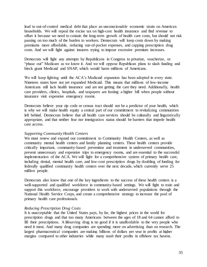lead to out-of-control medical debt that place an unconscionable economic strain on American households. We will repeal the excise tax on high-cost health insurance and find revenue to offset it because we need to contain the long-term growth of health care costs, but should not risk passing on too much of the burden to workers. Democrats will keep costs down by making premiums more affordable, reducing out-of-pocket expenses, and capping prescription drug costs. And we will fight against insurers trying to impose excessive premium increases.

Democrats will fight any attempts by Republicans in Congress to privatize, voucherize, or "phase out" Medicare as we know it. And we will oppose Republican plans to slash funding and block grant Medicaid and SNAP, which would harm millions of Americans.

We will keep fighting until the ACA's Medicaid expansion has been adopted in every state. Nineteen states have not yet expanded Medicaid. This means that millions of low-income Americans still lack health insurance and are not getting the care they need. Additionally, health care providers, clinics, hospitals, and taxpayers are footing a higher bill when people without insurance visit expensive emergency rooms.

Democrats believe your zip code or census tract should not be a predictor of your health, which is why we will make health equity a central part of our commitment to revitalizing communities left behind. Democrats believe that all health care services should be culturally and linguistically appropriate, and that neither fear nor immigration status should be barriers that impede health care access.

## *Supporting Community Health Centers*

We must renew and expand our commitment to Community Health Centers, as well as community mental health centers and family planning centers. These health centers provide critically important, community-based prevention and treatment in underserved communities, prevent unnecessary and expensive trips to emergency rooms, and are essential to the successful implementation of the ACA. We will fight for a comprehensive system of primary health care, including dental, mental health care, and low-cost prescription drugs by doubling of funding for federally qualified community health centers over the next decade, which currently serve 25 million people.

Democrats also know that one of the key ingredients to the success of these health centers is a well-supported and qualified workforce in community-based settings. We will fight to train and support this workforce, encourage providers to work with underserved populations through the National Health Service Corps, and create a comprehensive strategy to increase the pool of primary health care professionals.

#### *Reducing Prescription Drug Costs*

It is unacceptable that the United States pays, by far, the highest prices in the world for prescription drugs and that too many Americans between the ages of 18 and 64 cannot afford to fill their prescriptions. A lifesaving drug is no good if it is unaffordable to the very people who need it most. And many drug companies are spending more on advertising than on research. The largest pharmaceutical companies are making billions of dollars per year in profits at higher margins compared to other industries while many stash their profits in offshore tax havens.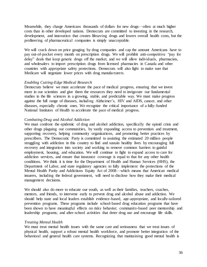Meanwhile, they charge Americans thousands of dollars for new drugs—often at much higher costs than in other developed nations. Democrats are committed to investing in the research, development, and innovation that creates lifesaving drugs and lowers overall health costs, but the profiteering of pharmaceutical companies is simply unacceptable.

We will crack down on price gouging by drug companies and cap the amount Americans have to pay out-of-pocket every month on prescription drugs. We will prohibit anti-competitive "pay for delay" deals that keep generic drugs off the market, and we will allow individuals, pharmacists, and wholesalers to import prescription drugs from licensed pharmacies in Canada and other countries with appropriate safety protections. Democrats will also fight to make sure that Medicare will negotiate lower prices with drug manufacturers.

## *Enabling Cutting-Edge Medical Research*

Democrats believe we must accelerate the pace of medical progress, ensuring that we invest more in our scientists and give them the resources they need to invigorate our fundamental studies in the life sciences in a growing, stable, and predictable way. We must make progress against the full range of diseases, including Alzheimer's, HIV and AIDS, cancer, and other diseases, especially chronic ones. We recognize the critical importance of a fully-funded National Institutes of Health to accelerate the pace of medical progress.

## *Combating Drug and Alcohol Addiction*

We must confront the epidemic of drug and alcohol addiction, specifically the opioid crisis and other drugs plaguing our communities, by vastly expanding access to prevention and treatment, supporting recovery, helping community organizations, and promoting better practices by prescribers. The Democratic Party is committed to assisting the estimated 20 million people struggling with addiction in this country to find and sustain healthy lives by encouraging full recovery and integration into society and working to remove common barriers to gainful employment, housing, and education. We will continue to fight to expand access to care for addiction services, and ensure that insurance coverage is equal to that for any other health conditions. We think it is time for the Department of Health and Human Services (HHS), the Department of Labor, and state regulatory agencies to fully implement the protections of the Mental Health Parity and Addictions Equity Act of 2008—which means that American medical insurers, including the federal government, will need to disclose how they make their medical management decisions.

We should also do more to educate our youth, as well as their families, teachers, coaches, mentors, and friends, to intervene early to prevent drug and alcohol abuse and addiction. We should help state and local leaders establish evidence-based, age-appropriate, and locally-tailored prevention programs. These programs include school-based drug education programs that have been shown to have meaningful effects on risky behavior; community-based peer mentorship and leadership programs; and after-school activities that deter drug use and encourage life skills.

#### *Treating Mental Health*

We must treat mental health issues with the same care and seriousness that we treat issues of physical health, support a robust mental health workforce, and promote better integration of the behavioral and general health care systems. Recognizing that maintaining good mental health is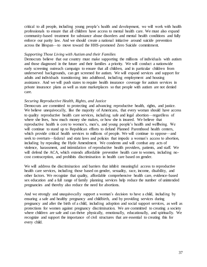critical to all people, including young people's health and development, we will work with health professionals to ensure that all children have access to mental health care. We must also expand community-based treatment for substance abuse disorders and mental health conditions and fully enforce our parity law. And we should create a national initiative around suicide prevention across the lifespan—to move toward the HHS-promoted Zero Suicide commitment.

#### *Supporting Those Living with Autism and their Families*

Democrats believe that our country must make supporting the millions of individuals with autism and those diagnosed in the future and their families a priority. We will conduct a nationwide early screening outreach campaign to ensure that all children, and in particular children from underserved backgrounds, can get screened for autism. We will expand services and support for adults and individuals transitioning into adulthood, including employment and housing assistance. And we will push states to require health insurance coverage for autism services in private insurance plans as well as state marketplaces so that people with autism are not denied care.

## *Securing Reproductive Health, Rights, and Justice*

Democrats are committed to protecting and advancing reproductive health, rights, and justice. We believe unequivocally, like the majority of Americans, that every woman should have access to quality reproductive health care services, including safe and legal abortion—regardless of where she lives, how much money she makes, or how she is insured. We believe that reproductive health is core to women's, men's, and young people's health and wellbeing. We will continue to stand up to Republican efforts to defund Planned Parenthood health centers, which provide critical health services to millions of people. We will continue to oppose—and seek to overturn—federal and state laws and policies that impede a woman's access to abortion, including by repealing the Hyde Amendment. We condemn and will combat any acts of violence, harassment, and intimidation of reproductive health providers, patients, and staff. We will defend the ACA, which extends affordable preventive health care to women, including nocost contraception, and prohibits discrimination in health care based on gender.

We will address the discrimination and barriers that inhibit meaningful access to reproductive health care services, including those based on gender, sexuality, race, income, disability, and other factors. We recognize that quality, affordable comprehensive health care, evidence-based sex education and a full range of family planning services help reduce the number of unintended pregnancies and thereby also reduce the need for abortions.

And we strongly and unequivocally support a woman's decision to have a child, including by ensuring a safe and healthy pregnancy and childbirth, and by providing services during pregnancy and after the birth of a child, including adoption and social support services, as well as protections for women against pregnancy discrimination. We are committed to creating a society where children are safe and can thrive physically, emotionally, educationally, and spiritually. We recognize and support the importance of civil structures that are essential to creating this for every child.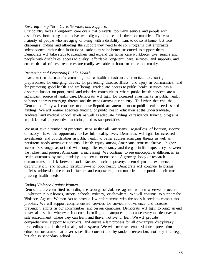#### *Ensuring Long-Term Care, Services, and Supports*

Our country faces a long-term care crisis that prevents too many seniors and people with disabilities from being able to live with dignity at home or in their communities. The vast majority of people who are aging or living with a disability want to do so at home, but face challenges finding and affording the support they need to do so. Programs that emphasize independence rather than institutionalization must be better structured to support them. Democrats will take steps to strengthen and expand the home care workforce, give seniors and people with disabilities access to quality, affordable long-term care, services, and supports, and ensure that all of these resources are readily available at home or in the community.

## *Protecting and Promoting Public Health*

Investment in our nation's crumbling public health infrastructure is critical to ensuring preparedness for emerging threats; for preventing disease, illness, and injury in communities; and for promoting good health and wellbeing. Inadequate access to public health services has a disparate impact on poor, rural, and minority communities where public health services are a significant source of health care. Democrats will fight for increased investments in public health to better address emerging threats and the needs across our country. To further that end, the Democratic Party will continue to oppose Republican attempts to cut public health services and funding. We will ensure adequate funding of public health education at the undergraduate, graduate, and medical school levels as well as adequate funding of residency training programs in public health, preventive medicine, and its subspecialties.

We must take a number of proactive steps so that all Americans—regardless of location, income or history—have the opportunity to live full, healthy lives. Democrats will fight for increased investments and coordination in public health to better address emerging threats as well as persistent needs across our country. Health equity among Americans remains elusive—higher income is strongly associated with longer life expectancy and the gap in life expectancy between the richest and poorest Americans is increasing. We continue to see unacceptable differences in health outcomes by race, ethnicity, and sexual orientation. A growing body of research demonstrates the link between social factors—such as poverty, unemployment, experience of discrimination, and housing instability—and poor health. Democrats will continue to pursue policies addressing these social factors and empowering communities to respond to their most pressing health needs.

#### *Ending Violence Against Women*

Democrats are committed to ending the scourge of violence against women wherever it occurs —whether in our homes, streets, schools, military, or elsewhere. We will continue to support the Violence Against Women Act to provide law enforcement with the tools it needs to combat this problem. We will support comprehensive services for survivors of violence and increase prevention efforts in our communities and on our campuses. Democrats will fight to bring an end to sexual assault—wherever it occurs, including on campuses— because everyone deserves a safe environment where they can learn and thrive, not live in fear. We will provide comprehensive support to survivors, and ensure a fair process for all on-campus disciplinary proceedings and in the criminal justice system. We will increase sexual violence prevention education programs that cover issues like consent and bystander intervention, not only in college, but also in secondary school.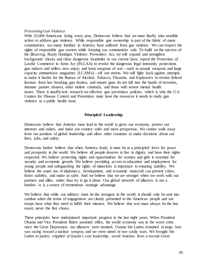#### *Preventing Gun Violence*

With 33,000 Americans dying every year, Democrats believe that we must finally take sensible action to address gun violence. While responsible gun ownership is part of the fabric of many communities, too many families in America have suffered from gun violence. We can respect the rights of responsible gun owners while keeping our communities safe. To build on the success of the lifesaving Brady Handgun Violence Prevention Act, we will expand and strengthen background checks and close dangerous loopholes in our current laws; repeal the Protection of Lawful Commerce in Arms Act (PLCAA) to revoke the dangerous legal immunity protections gun makers and sellers now enjoy; and keep weapons of war—such as assault weapons and large capacity ammunition magazines (LCAM's)—off our streets. We will fight back against attempts to make it harder for the Bureau of Alcohol, Tobacco, Firearms, and Explosives to revoke federal licenses from law breaking gun dealers, and ensure guns do not fall into the hands of terrorists, intimate partner abusers, other violent criminals, and those with severe mental health issues. There is insufficient research on effective gun prevention policies, which is why the U.S. Centers for Disease Control and Prevention must have the resources it needs to study gun violence as a public health issue.

## **Principled Leadership**

Democrats believe that America must lead in the world to grow our economy, protect our interests and values, and make our country safer and more prosperous. We cannot walk away from our position of global leadership and allow other countries to make decisions about our lives, jobs, and safety.

Democrats further believe that when America leads, it must be as a principled force for peace and prosperity in the world. We believe all people deserve to live in dignity and have their rights respected. We believe protecting rights and opportunities for women and girls is essential for security and economic growth. We believe providing access to education and employment for young people and safeguarding the rights of minorities is important to ensuring stability. We believe the smart use of diplomacy, development, and economic statecraft can prevent crises, foster stability, and make us safer. And we believe that we are stronger when we work with our partners and allies, rather than try to go it alone. Our global network of alliances is not a burden—it is a source of tremendous strategic advantage.

We believe that while our military must be the strongest in the world, it should only be sent into combat when the terms of engagement are clearly presented to the American people and our troops have what they need to fulfill their mission. We believe that war must always be the last resort, never the first choice.

These principles have underpinned important progress in the last eight years. When President Obama and Vice President Biden assumed office, the world economy was in the worst crisis since the Great Depression, our alliances were strained, Osama bin Laden remained at large, Iran was racing toward a nuclear weapon, and we were mired in two costly wars. We brought bin Laden to justice, crippled al Qaeda's core leadership, saved America from a second Great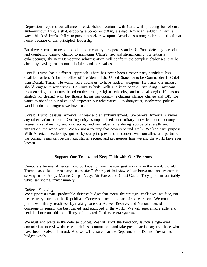Depression, repaired our alliances, reestablished relations with Cuba while pressing for reforms, and—without firing a shot, dropping a bomb, or putting a single American soldier in harm's way—blocked Iran's ability to pursue a nuclear weapon. America is stronger abroad and safer at home because of this principled leadership.

But there is much more to do to keep our country prosperous and safe. From defeating terrorism and combating climate change to managing China's rise and strengthening our nation's cybersecurity, the next Democratic administration will confront the complex challenges that lie ahead by staying true to our principles and core values.

Donald Trump has a different approach. There has never been a major party candidate less qualified or less fit for the office of President of the United States or to be Commander-in-Chief than Donald Trump. He wants more countries to have nuclear weapons. He thinks our military should engage in war crimes. He wants to build walls and keep people—including Americans from entering the country based on their race, religion, ethnicity, and national origin. He has no strategy for dealing with key threats facing our country, including climate change and ISIS. He wants to abandon our allies and empower our adversaries. His dangerous, incoherent policies would undo the progress we have made.

Donald Trump believes America is weak and an embarrassment. We believe America is unlike any other nation on earth. Our ingenuity is unparalleled, our military unrivaled, our economy the largest, most dynamic, and innovative, and our values an enduring source of strength and inspiration the world over. We are not a country that cowers behind walls. We lead with purpose. With American leadership, guided by our principles and in concert with our allies and partners, the coming years can be the most stable, secure, and prosperous time we and the world have ever known.

## **Support Our Troops and Keep Faith with Our Veterans**

Democrats believe America must continue to have the strongest military in the world. Donald Trump has called our military "a disaster." We reject that view of our brave men and women in serving in the Army, Marine Corps, Navy, Air Force, and Coast Guard. They perform admirably while sacrificing immeasurably.

## *Defense Spending*

We support a smart, predictable defense budget that meets the strategic challenges we face, not the arbitrary cuts that the Republican Congress enacted as part of sequestration. We must prioritize military readiness by making sure our Active, Reserve, and National Guard components remain the best trained and equipped in the world. We will seek a more agile and flexible force and rid the military of outdated Cold War-era systems.

We must end waste in the defense budget. We will audit the Pentagon, launch a high-level commission to review the role of defense contractors, and take greater action against those who have been involved in fraud. And we will ensure that the Department of Defense invests its budget wisely.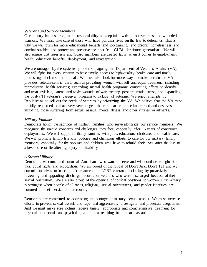## *Veterans and Service Members*

Our country has a sacred, moral responsibility to keep faith with all our veterans and wounded warriors. We must take care of those who have put their lives on the line to defend us. That is why we will push for more educational benefits and job training, end chronic homelessness and combat suicide, and protect and preserve the post-9/11 GI Bill for future generations. We will also ensure that reservists and Guard members are treated fairly when it comes to employment, health, education benefits, deployment, and reintegration.

We are outraged by the systemic problems plaguing the Department of Veterans Affairs (VA). We will fight for every veteran to have timely access to high-quality health care and timely processing of claims and appeals. We must also look for more ways to make certain the VA provides veteran-centric care, such as providing women with full and equal treatment, including reproductive health services; expanding mental health programs; continuing efforts to identify and treat invisible, latent, and toxic wounds of war; treating post-traumatic stress; and expanding the post-9/11 veteran's caregiver program to include all veterans. We reject attempts by Republicans to sell out the needs of veterans by privatizing the VA. We believe that the VA must be fully resourced so that every veteran gets the care that he or she has earned and deserves, including those suffering from sexual assault, mental illness and other injuries or ailments.

## *Military Families*

Democrats honor the sacrifice of military families who serve alongside our service members. We recognize the unique concerns and challenges they face, especially after 15 years of continuous deployments. We will support military families with jobs, education, childcare, and health care. We will promote family-friendly policies and champion efforts to care for our military family members, especially for the spouses and children who have to rebuild their lives after the loss of a loved one or life-altering injury or disability.

## *A Strong Military*

Democrats welcome and honor all Americans who want to serve and will continue to fight for their equal rights and recognition. We are proud of the repeal of Don't Ask, Don't Tell and we commit ourselves to insuring fair treatment for LGBT veterans, including by proactively reviewing and upgrading discharge records for veterans who were discharged because of their sexual orientation. We are also proud of the opening of combat positions to women. Our military is strongest when people of all races, religions, sexual orientations, and gender identities are honored for their service to our country.

Democrats are committed to addressing the scourge of military sexual assault. We must increase efforts to prevent sexual assault and rape, and aggressively investigate and prosecute allegations. And we must make sure victims receive timely, appropriate and comprehensive treatment for physical, emotional, and psychological trauma resulting from sexual assault.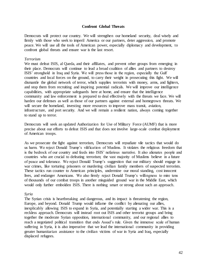#### **Confront Global Threats**

Democrats will protect our country. We will strengthen our homeland security, deal wisely and firmly with those who seek to imperil America or our partners, deter aggression, and promote peace. We will use all the tools of American power, especially diplomacy and development, to confront global threats and ensure war is the last resort.

## *Terrorism*

We must defeat ISIS, al Qaeda, and their affiliates, and prevent other groups from emerging in their place. Democrats will continue to lead a broad coalition of allies and partners to destroy ISIS' stronghold in Iraq and Syria. We will press those in the region, especially the Gulf countries and local forces on the ground, to carry their weight in prosecuting this fight. We will dismantle the global network of terror, which supplies terrorists with money, arms, and fighters, and stop them from recruiting and inspiring potential radicals. We will improve our intelligence capabilities, with appropriate safeguards here at home, and ensure that the intelligence community and law enforcement is prepared to deal effectively with the threats we face. We will harden our defenses as well as those of our partners against external and homegrown threats. We will secure the homeland, investing more resources to improve mass transit, aviation, infrastructure, and port security. And we will remain a resilient nation, always coming together to stand up to terror.

Democrats will seek an updated Authorization for Use of Military Force (AUMF) that is more precise about our efforts to defeat ISIS and that does not involve large-scale combat deployment of American troops.

As we prosecute the fight against terrorism, Democrats will repudiate vile tactics that would do us harm. We reject Donald Trump's vilification of Muslims. It violates the religious freedom that is the bedrock of our country and feeds into ISIS' nefarious narrative. It also alienates people and countries who are crucial to defeating terrorism; the vast majority of Muslims believe in a future of peace and tolerance. We reject Donald Trump's suggestion that our military should engage in war crimes, like torturing prisoners or murdering civilian family members of suspected terrorists. These tactics run counter to American principles, undermine our moral standing, cost innocent lives, and endanger Americans. We also firmly reject Donald Trump's willingness to mire tens of thousands of our combat troops in another misguided ground war in the Middle East, which would only further embolden ISIS. There is nothing smart or strong about such an approach.

## *Syria*

The Syrian crisis is heartbreaking and dangerous, and its impact is threatening the region, Europe, and beyond. Donald Trump would inflame the conflict by alienating our allies, inexplicably allowing ISIS to expand in Syria, and potentially starting a wider war. This is a reckless approach. Democrats will instead root out ISIS and other terrorist groups and bring together the moderate Syrian opposition, international community, and our regional allies to reach a negotiated political transition that ends Assad's rule. Given the immense scale of human suffering in Syria, it is also imperative that we lead the international community in providing greater humanitarian assistance to the civilian victims of war in Syria and Iraq, especially displaced refugees.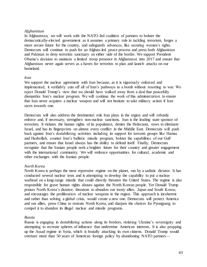## *Afghanistan*

In Afghanistan, we will work with the NATO-led coalition of partners to bolster the democratically-elected government as it assumes a primary role in tackling terrorism, forges a more secure future for the country, and safeguards advances, like securing women's rights. Democrats will continue to push for an Afghan-led peace process and press both Afghanistan and Pakistan to deny terrorists sanctuary on either side of the border. We support President Obama's decision to maintain a limited troop presence in Afghanistan into 2017 and ensure that Afghanistan never again serves as a haven for terrorists to plan and launch attacks on our homeland.

## *Iran*

We support the nuclear agreement with Iran because, as it is vigorously enforced and implemented, it verifiably cuts off all of Iran's pathways to a bomb without resorting to war. We reject Donald Trump's view that we should have walked away from a deal that peacefully dismantles Iran's nuclear program. We will continue the work of this administration to ensure that Iran never acquires a nuclear weapon and will not hesitate to take military action if Iran races towards one.

Democrats will also address the detrimental role Iran plays in the region and will robustly enforce and, if necessary, strengthen non-nuclear sanctions. Iran is the leading state sponsor of terrorism. It violates the human rights of its population, denies the Holocaust, vows to eliminate Israel, and has its fingerprints on almost every conflict in the Middle East. Democrats will push back against Iran's destabilizing activities including its support for terrorist groups like Hamas and Hezbollah, counter Iran's ballistic missile program, bolster the capabilities of our Gulf partners, and ensure that Israel always has the ability to defend itself. Finally, Democrats recognize that the Iranian people seek a brighter future for their country and greater engagement with the international community. We will embrace opportunities for cultural, academic and other exchanges with the Iranian people.

## *North Korea*

North Korea is perhaps the most repressive regime on the planet, run by a sadistic dictator. It has conducted several nuclear tests and is attempting to develop the capability to put a nuclear warhead on a long-range missile that could directly threaten the United States. The regime is also responsible for grave human rights abuses against the North Korean people. Yet Donald Trump praises North Korea's dictator; threatens to abandon our treaty allies, Japan and South Korea; and encourages the proliferation of nuclear weapons in the region. This approach is incoherent and rather than solving a global crisis, would create a new one. Democrats will protect America and our allies, press China to restrain North Korea, and sharpen the choices for Pyongyang to compel it to abandon its illegal nuclear and missile programs.

## *Russia*

Russia is engaging in destabilizing actions along its borders, violating Ukraine's sovereignty and attempting to recreate spheres of influence that undermine American interests. It is also propping up the Assad regime in Syria, which is brutally attacking its own citizens. Donald Trump would overturn more than 50 years of American foreign policy by abandoning NATO partners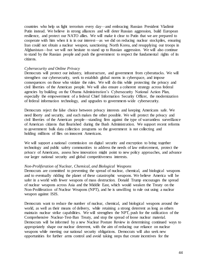countries who help us fight terrorism every day—and embracing Russian President Vladimir Putin instead. We believe in strong alliances and will deter Russian aggression, build European resilience, and protect our NATO allies. We will make it clear to Putin that we are prepared to cooperate with him when it is in our interest—as we did on reducing nuclear stockpiles, ensuring Iran could not obtain a nuclear weapon, sanctioning North Korea, and resupplying our troops in Afghanistan—but we will not hesitate to stand up to Russian aggression. We will also continue to stand by the Russian people and push the government to respect the fundamental rights of its citizens.

#### *Cybersecurity and Online Privacy*

Democrats will protect our industry, infrastructure, and government from cyberattacks. We will strengthen our cybersecurity, seek to establish global norms in cyberspace, and impose consequences on those who violate the rules. We will do this while protecting the privacy and civil liberties of the American people. We will also ensure a coherent strategy across federal agencies by building on the Obama Administration's Cybersecurity National Action Plan, especially the empowerment of a federal Chief Information Security Officer, the modernization of federal information technology, and upgrades to government-wide cybersecurity.

Democrats reject the false choice between privacy interests and keeping Americans safe. We need liberty and security, and each makes the other possible. We will protect the privacy and civil liberties of the American people—standing firm against the type of warrantless surveillance of American citizens that flourished during the Bush Administration. We support recent reforms to government bulk data collection programs so the government is not collecting and holding millions of files on innocent Americans.

We will support a national commission on digital security and encryption to bring together technology and public safety communities to address the needs of law enforcement, protect the privacy of Americans, assess how innovation might point to new policy approaches, and advance our larger national security and global competitiveness interests.

## *Non-Proliferation of Nuclear, Chemical, and Biological Weapons*

Democrats are committed to preventing the spread of nuclear, chemical, and biological weapons and to eventually ridding the planet of these catastrophic weapons. We believe America will be safer in a world with fewer weapons of mass destruction. Donald Trump encourages the spread of nuclear weapons across Asia and the Middle East, which would weaken the Treaty on the Non-Proliferation of Nuclear Weapons (NPT), and he is unwilling to rule out using a nuclear weapon against ISIS.

Democrats want to reduce the number of nuclear, chemical, and biological weapons around the world, as well as their means of delivery, while retaining a strong deterrent as long as others maintain nuclear strike capabilities*.* We will strengthen the NPT, push for the ratification of the Comprehensive Nuclear-Test-Ban Treaty, and stop the spread of loose nuclear material. Democrats will be informed by a new Nuclear Posture Review in determining continued ways to appropriately shape our nuclear deterrent, with the aim of reducing our reliance on nuclear weapons while meeting our national security obligations. Democrats will also seek new opportunities for further arms control and avoid taking steps that create incentives for the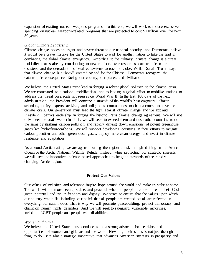expansion of existing nuclear weapons programs. To this end, we will work to reduce excessive spending on nuclear weapons-related programs that are projected to cost \$1 trillion over the next 30 years.

## *Global Climate Leadership*

Climate change poses an urgent and severe threat to our national security, and Democrats believe it would be a grave mistake for the United States to wait for another nation to take the lead in combating the global climate emergency. According to the military, climate change is a threat multiplier that is already contributing to new conflicts over resources, catastrophic natural disasters, and the degradation of vital ecosystems across the globe. While Donald Trump says that climate change is a "hoax" created by and for the Chinese, Democrats recognize the catastrophic consequences facing our country, our planet, and civilization.

We believe the United States must lead in forging a robust global solution to the climate crisis. We are committed to a national mobilization, and to leading a global effort to mobilize nations to address this threat on a scale not seen since World War II. In the first 100 days of the next administration, the President will convene a summit of the world's best engineers, climate scientists, policy experts, activists, and indigenous communities to chart a course to solve the climate crisis. Our generation must lead the fight against climate change and we applaud President Obama's leadership in forging the historic Paris climate change agreement. We will not only meet the goals we set in Paris, we will seek to exceed them and push other countries to do the same by slashing carbon pollution and rapidly driving down emissions of potent greenhouse gases like hydrofluorocarbons. We will support developing countries in their efforts to mitigate carbon pollution and other greenhouse gases, deploy more clean energy, and invest in climate resilience and adaptation.

As a proud Arctic nation, we are against putting the region at risk through drilling in the Arctic Ocean or the Arctic National Wildlife Refuge. Instead, while protecting our strategic interests, we will seek collaborative, science-based approaches to be good stewards of the rapidly changing Arctic region.

#### **Protect Our Values**

Our values of inclusion and tolerance inspire hope around the world and make us safer at home. The world will be more secure, stable, and peaceful when all people are able to reach their Godgiven potential and live in freedom and dignity. We strive to ensure that the values upon which our country was built, including our belief that all people are created equal, are reflected in everything our nation does. That is why we will promote peacebuilding, protect democracy, and champion human rights defenders. And we will seek to safeguard vulnerable minorities, including LGBT people and people with disabilities.

#### *Women and Girls*

We believe the United States must continue to be a strong advocate for the rights and opportunities of women and girls around the world. Elevating their status is not just the right thing to do—it is also a strategic imperative that advances American interests in prosperity and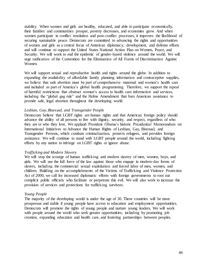stability. When women and girls are healthy, educated, and able to participate economically, their families and communities prosper, poverty decreases, and economies grow. And when women participate in conflict resolution and post-conflict processes, it improves the likelihood of securing sustainable peace. Democrats are committed to advancing the rights and opportunities of women and girls as a central focus of American diplomacy, development, and defense efforts and will continue to support the United States National Action Plan on Women, Peace, and Security. We will work to end the epidemic of gender-based violence around the world. We will urge ratification of the Convention for the Elimination of All Forms of Discrimination Against Women.

We will support sexual and reproductive health and rights around the globe. In addition to expanding the availability of affordable family planning information and contraceptive supplies, we believe that safe abortion must be part of comprehensive maternal and women's health care and included as part of America's global health programming. Therefore, we support the repeal of harmful restrictions that obstruct women's access to health care information and services, including the "global gag rule" and the Helms Amendment that bars American assistance to provide safe, legal abortion throughout the developing world.

## *Lesbian, Gay, Bisexual, and Transgender People*

Democrats believe that LGBT rights are human rights and that American foreign policy should advance the ability of all persons to live with dignity, security, and respect, regardless of who they are or who they love. We applaud President Obama's historic Presidential Memorandum on International Initiatives to Advance the Human Rights of Lesbian, Gay, Bisexual, and Transgender Persons, which combats criminalization, protects refugees, and provides foreign assistance. We will continue to stand with LGBT people around the world, including fighting efforts by any nation to infringe on LGBT rights or ignore abuse.

#### *Trafficking and Modern Slavery*

We will stop the scourge of human trafficking and modern slavery of men, women, boys, and girls. We will use the full force of the law against those who engage in modern-day forms of slavery, including the commercial sexual exploitation and forced labor of men, women, and children. Building on the accomplishments of the Victims of Trafficking and Violence Protection Act of 2000, we call for increased diplomatic efforts with foreign governments to root out complicit public officials who facilitate or perpetrate this evil. We will also work to increase the provision of services and protections for trafficking survivors.

#### *Young People*

The majority of the developing world is under the age of 30. These countries will be more prosperous and stable if young people have access to education and employment opportunities. Democrats will promote the rights of young people and nurture young leaders. We will work with people around the world who seek greater opportunities, including by promoting job creation, expanding education and health care, and fostering partnerships between peoples.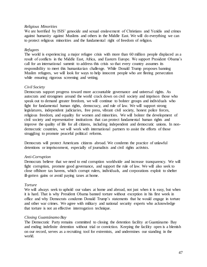## *Religious Minorities*

We are horrified by ISIS' genocide and sexual enslavement of Christians and Yezidis and crimes against humanity against Muslims and others in the Middle East. We will do everything we can to protect religious minorities and the fundamental right of freedom of religion.

## *Refugees*

The world is experiencing a major refugee crisis with more than 60 million people displaced as a result of conflicts in the Middle East, Africa, and Eastern Europe. We support President Obama's call for an international summit to address this crisis so that every country assumes its responsibility to meet this humanitarian challenge. While Donald Trump proposes banning Muslim refugees, we will look for ways to help innocent people who are fleeing persecution while ensuring rigorous screening and vetting.

## *Civil Society*

Democrats support progress toward more accountable governance and universal rights. As autocrats and strongmen around the world crack down on civil society and imprison those who speak out to demand greater freedom, we will continue to bolster groups and individuals who fight for fundamental human rights, democracy, and rule of law. We will support strong legislatures, independent judiciaries, free press, vibrant civil society, honest police forces, religious freedom, and equality for women and minorities. We will bolster the development of civil society and representative institutions that can protect fundamental human rights and improve the quality of life for all citizens, including independent and democratic unions. In nondemocratic countries, we will work with international partners to assist the efforts of those struggling to promote peaceful political reforms.

Democrats will protect Americans citizens abroad. We condemn the practice of unlawful detentions or imprisonment, especially of journalists and civil rights activists.

## *Anti-Corruption*

Democrats believe that we need to end corruption worldwide and increase transparency. We will fight corruption, promote good governance, and support the rule of law. We will also seek to close offshore tax havens, which corrupt rulers, individuals, and corporations exploit to shelter ill-gotten gains or avoid paying taxes at home.

#### *Torture*

We will always seek to uphold our values at home and abroad, not just when it is easy, but when it is hard. That is why President Obama banned torture without exception in his first week in office and why Democrats condemn Donald Trump's statements that he would engage in torture and other war crimes. We agree with military and national security experts who acknowledge that torture is not an effective interrogation technique.

#### *Closing Guantánamo Bay*

The Democratic Party remains committed to closing the detention facility at Guantánamo Bay and ending indefinite detention without trial or conviction. Keeping the facility open is a blemish on our record, serves as a recruiting tool for extremists, and undermines our standing in the world.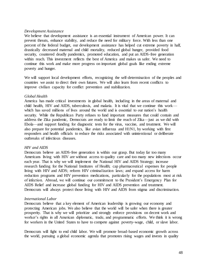#### *Development Assistance*

We believe that development assistance is an essential instrument of American power. It can prevent threats, enhance stability, and reduce the need for military force. With less than one percent of the federal budget, our development assistance has helped cut extreme poverty in half, drastically decreased maternal and child mortality, reduced global hunger, provided food security, countered deadly pandemics, promoted education, and put an AIDS-free generation within reach. This investment reflects the best of America and makes us safer. We need to continue this work and make more progress on important global goals like ending extreme poverty and hunger.

We will support local development efforts, recognizing the self-determination of the peoples and countries we assist to direct their own futures. We will also learn from recent conflicts to improve civilian capacity for conflict prevention and stabilization.

#### *Global Health*

America has made critical investments in global health, including in the areas of maternal and child health, HIV and AIDS, tuberculosis, and malaria. It is vital that we continue this work which has saved millions of lives around the world and is essential to our nation's health security. While the Republican Party refuses to fund important measures that could contain and address the Zika pandemic, Democrats are ready to limit the reach of Zika—just as we did with Ebola—and support funding for diagnostic tests for the virus, vaccine, and treatment. We will also prepare for potential pandemics, like avian influenza and H1N1, by working with first responders and health officials to reduce the risks associated with unintentional or deliberate outbreaks of infectious diseases.

#### *HIV and AIDS*

Democrats believe an AIDS-free generation is within our grasp. But today far too many Americans living with HIV are without access to quality care and too many new infections occur each year. That is why we will implement the National HIV and AIDS Strategy; increase research funding for the National Institutes of Health; cap pharmaceutical expenses for people living with HIV and AIDS; reform HIV criminalization laws; and expand access for harm reduction programs and HIV prevention medications, particularly for the populations most at risk of infection. Abroad, we will continue our commitment to the President's Emergency Plan for AIDS Relief and increase global funding for HIV and AIDS prevention and treatment. Democrats will always protect those living with HIV and AIDS from stigma and discrimination.

#### *International Labor*

Democrats believe that a key element of American leadership is growing our economy and protecting American jobs. We also believe that the world will be safer when there is greater prosperity. That is why we will prioritize and strongly enforce provisions on decent work and worker's rights in all American diplomatic, trade, and programmatic efforts. We think it is wrong for workers in the United States to have to compete against poverty-wage, child, or slave labor.

Democrats will fight to end child labor. We will promote broad-based economic growth across the world, pursuing a global economic agenda that promotes rising wages and invests in quality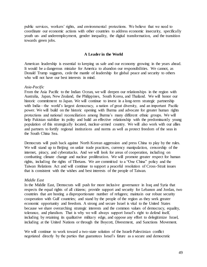public services, workers' rights, and environmental protections. We believe that we need to coordinate our economic actions with other countries to address economic insecurity, specifically youth un- and underemployment, gender inequality, the digital transformation, and the transition towards green jobs.

## **A Leader in the World**

American leadership is essential to keeping us safe and our economy growing in the years ahead. It would be a dangerous mistake for America to abandon our responsibilities. We cannot, as Donald Trump suggests, cede the mantle of leadership for global peace and security to others who will not have our best interests in mind.

#### *Asia-Pacific*

From the Asia Pacific to the Indian Ocean, we will deepen our relationships in the region with Australia, Japan, New Zealand, the Philippines, South Korea, and Thailand. We will honor our historic commitment to Japan. We will continue to invest in a long-term strategic partnership with India—the world's largest democracy, a nation of great diversity, and an important Pacific power. We will build on the historic opening with Burma and advocate for greater human rights protections and national reconciliation among Burma's many different ethnic groups. We will help Pakistan stabilize its polity and build an effective relationship with the predominantly young population of this strategically located, nuclear-armed country. We will also work with our allies and partners to fortify regional institutions and norms as well as protect freedom of the seas in the South China Sea.

Democrats will push back against North Korean aggression and press China to play by the rules. We will stand up to Beijing on unfair trade practices, currency manipulation, censorship of the internet, piracy, and cyberattacks. And we will look for areas of cooperation, including on combatting climate change and nuclear proliferation. We will promote greater respect for human rights, including the rights of Tibetans. We are committed to a "One China" policy and the Taiwan Relations Act and will continue to support a peaceful resolution of Cross-Strait issues that is consistent with the wishes and best interests of the people of Taiwan.

#### *Middle East*

In the Middle East, Democrats will push for more inclusive governance in Iraq and Syria that respects the equal rights of all citizens; provide support and security for Lebanon and Jordan, two countries that are hosting a disproportionate number of refugees; maintain our robust security cooperation with Gulf countries; and stand by the people of the region as they seek greater economic opportunity and freedom. A strong and secure Israel is vital to the United States because we share overarching strategic interests and the common values of democracy, equality, tolerance, and pluralism. That is why we will always support Israel's right to defend itself, including by retaining its qualitative military edge, and oppose any effort to delegitimize Israel, including at the United Nations or through the Boycott, Divestment, and Sanctions Movement.

We will continue to work toward a two-state solution of the Israeli-Palestinian conflict negotiated directly by the parties that guarantees Israel's future as a secure and democratic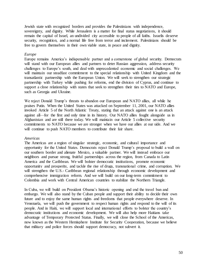Jewish state with recognized borders and provides the Palestinians with independence, sovereignty, and dignity. While Jerusalem is a matter for final status negotiations, it should remain the capital of Israel, an undivided city accessible to people of all faiths. Israelis deserve security, recognition, and a normal life free from terror and incitement. Palestinians should be free to govern themselves in their own viable state, in peace and dignity.

## *Europe*

Europe remains America's indispensable partner and a cornerstone of global security. Democrats will stand with our European allies and partners to deter Russian aggression, address security challenges to Europe's south, and deal with unprecedented economic and social challenges. We will maintain our steadfast commitment to the special relationship with United Kingdom and the transatlantic partnership with the European Union. We will seek to strengthen our strategic partnership with Turkey while pushing for reforms, end the division of Cyprus, and continue to support a close relationship with states that seek to strengthen their ties to NATO and Europe, such as Georgia and Ukraine.

We reject Donald Trump's threats to abandon our European and NATO allies, all while he praises Putin. When the United States was attacked on September 11, 2001, our NATO allies invoked Article 5 of the North Atlantic Treaty, stating that an attack against one is an attack against all—for the first and only time in its history. Our NATO allies fought alongside us in Afghanistan and are still there today. We will maintain our Article 5 collective security commitments to NATO because we are stronger when we have our allies at our side. And we will continue to push NATO members to contribute their fair share.

#### *Americas*

The Americas are a region of singular strategic, economic, and cultural importance and opportunity for the United States. Democrats reject Donald Trump's proposal to build a wall on our southern border and alienate Mexico, a valuable partner. We will instead embrace our neighbors and pursue strong, fruitful partnerships across the region, from Canada to Latin America and the Caribbean. We will bolster democratic institutions, promote economic opportunity and prosperity, and tackle the rise of drugs, transnational crime, and corruption. We will strengthen the U.S.- Caribbean regional relationship through economic development and comprehensive immigration reform. And we will build on our long-term commitment to Colombia and work with Central American countries to stabilize the Northern Triangle.

In Cuba, we will build on President Obama's historic opening and end the travel ban and embargo. We will also stand by the Cuban people and support their ability to decide their own future and to enjoy the same human rights and freedoms that people everywhere deserve. In Venezuela, we will push the government to respect human rights and respond to the will of its people. And in Haiti, we will support local and international efforts to bolster the country's democratic institutions and economic development. We will also help more Haitians take advantage of Temporary Protected Status. Finally, we will close the School of the Americas, now known as the Western Hemisphere Institute for Security Cooperation, because we believe that military and police forces should support democracy, not subvert it.